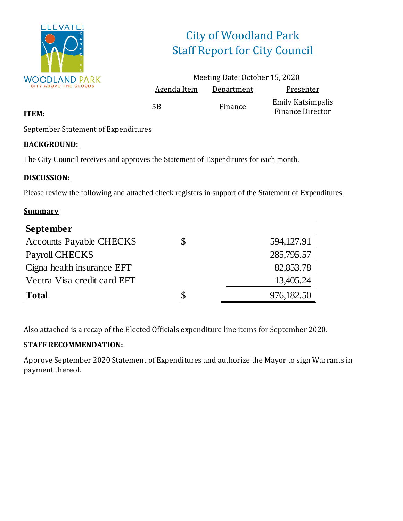

# City of Woodland Park Staff Report for City Council

|                    | Meeting Date: October 15, 2020 |                                              |
|--------------------|--------------------------------|----------------------------------------------|
| <b>Agenda Item</b> | Department                     | Presenter                                    |
| .5B                | Finance                        | <b>Emily Katsimpalis</b><br>Finance Director |

#### **ITEM:**

September Statement of Expenditures

#### **BACKGROUND:**

The City Council receives and approves the Statement of Expenditures for each month.

#### **DISCUSSION:**

Please review the following and attached check registers in support of the Statement of Expenditures.

#### **Summary**

| September                      |              |            |
|--------------------------------|--------------|------------|
| <b>Accounts Payable CHECKS</b> | S            | 594,127.91 |
| Payroll CHECKS                 |              | 285,795.57 |
| Cigna health insurance EFT     |              | 82,853.78  |
| Vectra Visa credit card EFT    |              | 13,405.24  |
| <b>Total</b>                   | <sup>S</sup> | 976,182.50 |

Also attached is a recap of the Elected Officials expenditure line items for September 2020.

#### **STAFF RECOMMENDATION:**

Approve September 2020 Statement of Expenditures and authorize the Mayor to sign Warrants in payment thereof.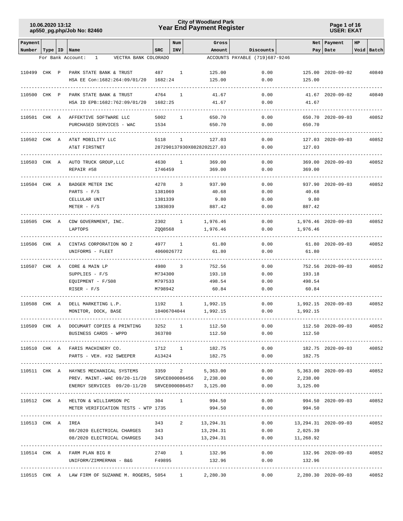## **Year End Payment Register City of Woodland Park 10.06.2020 13:12**

**Page 1 of 16 USER: EKAT**

| Payment                   |       |                                                                            |            | Num          | Gross                      |                                             |                            | Net   Payment       | HP |            |
|---------------------------|-------|----------------------------------------------------------------------------|------------|--------------|----------------------------|---------------------------------------------|----------------------------|---------------------|----|------------|
| Number   Type   ID   Name |       | VECTRA BANK COLORADO<br>For Bank Account:<br>$\mathbf{1}$                  | SRC        | INV          | Amount                     | Discounts<br>ACCOUNTS PAYABLE (719)687-9246 |                            | Pay   Date          |    | Void Batch |
|                           |       |                                                                            |            |              |                            |                                             |                            |                     |    |            |
| 110499 CHK P              |       | PARK STATE BANK & TRUST                                                    | 487 1      |              | 125.00                     | 0.00                                        |                            | 125.00 2020-09-02   |    | 40840      |
|                           |       | HSA EE Con:1682:264:09/01/20                                               | 1682:24    |              | 125.00                     | 0.00                                        | 125.00                     |                     |    |            |
| 110500 CHK P              |       | PARK STATE BANK & TRUST                                                    | 4764       | 1            | 41.67                      | 0.00                                        |                            | 41.67 2020-09-02    |    | 40840      |
|                           |       | HSA ID EPB:1682:762:09/01/20                                               | 1682:25    |              | 41.67                      | 0.00                                        | 41.67                      |                     |    |            |
|                           |       |                                                                            |            |              |                            |                                             |                            |                     |    |            |
| 110501 CHK A              |       | AFFEKTIVE SOFTWARE LLC                                                     | 5002       | 1            | 650.70                     | 0.00                                        |                            | 650.70 2020-09-03   |    | 40852      |
|                           |       | PURCHASED SERVICES - WAC                                                   | 1534       |              | 650.70                     | 0.00                                        | 650.70                     |                     |    |            |
|                           |       |                                                                            |            |              |                            |                                             |                            |                     |    |            |
| 110502 CHK A              |       | AT&T MOBILITY LLC                                                          | 5118       | 1            | 127.03                     | 0.00                                        |                            | 127.03 2020-09-03   |    | 40852      |
|                           |       | AT&T FIRSTNET                                                              |            |              | 287290137930X0828202127.03 | 0.00                                        | 127.03                     |                     |    |            |
| 110503 CHK A              |       | AUTO TRUCK GROUP, LLC                                                      | 4630       | 1            | 369.00                     | 0.00                                        |                            | 369.00 2020-09-03   |    | 40852      |
|                           |       | REPAIR #58                                                                 | 1746459    |              | 369.00                     | 0.00                                        | 369.00                     |                     |    |            |
|                           |       |                                                                            |            |              |                            |                                             |                            |                     |    |            |
| 110504                    | CHK A | BADGER METER INC                                                           | 4278       | 3            | 937.90                     | 0.00                                        |                            | 937.90 2020-09-03   |    | 40852      |
|                           |       | PARTS - $F/S$                                                              | 1381069    |              | 40.68                      | 0.00                                        | 40.68                      |                     |    |            |
|                           |       | CELLULAR UNIT                                                              | 1381339    |              | 9.80                       | 0.00                                        | 9.80                       |                     |    |            |
|                           |       | $METER - F/S$                                                              | 1383039    |              | 887.42                     | 0.00                                        | 887.42                     |                     |    |            |
|                           |       |                                                                            |            |              |                            |                                             |                            |                     |    |            |
| 110505 CHK A              |       | CDW GOVERNMENT, INC.                                                       | 2302       | $\mathbf{1}$ | 1,976.46                   | 0.00                                        |                            | 1,976.46 2020-09-03 |    | 40852      |
|                           |       | LAPTOPS                                                                    | ZQQ8568    |              | 1,976.46                   | 0.00                                        | 1,976.46                   |                     |    |            |
| 110506 CHK A              |       | CINTAS CORPORATION NO 2                                                    | 4977       | <sup>1</sup> | 61.80                      | 0.00                                        |                            | 61.80 2020-09-03    |    | 40852      |
|                           |       | UNIFORMS - FLEET                                                           | 4060026772 |              | 61.80                      | 0.00                                        | 61.80                      |                     |    |            |
|                           |       |                                                                            |            |              |                            |                                             |                            |                     |    |            |
| 110507 CHK A              |       | CORE & MAIN LP                                                             | 4980       | 3            | 752.56                     | 0.00                                        |                            | 752.56 2020-09-03   |    | 40852      |
|                           |       | SUPPLIES - F/S                                                             | M734300    |              | 193.18                     | 0.00                                        | 193.18                     |                     |    |            |
|                           |       | EQUIPMENT - F/S08                                                          | M797533    |              | 498.54                     | 0.00                                        | 498.54                     |                     |    |            |
|                           |       | RISER - $F/S$                                                              | M798942    |              | 60.84                      | 0.00                                        | 60.84                      |                     |    |            |
| 110508                    | CHK A | DELL MARKETING L.P.                                                        | 1192       | 1            | 1,992.15                   | 0.00                                        |                            | 1,992.15 2020-09-03 |    | 40852      |
|                           |       | MONITOR, DOCK, BASE                                                        |            | 10406704044  | 1,992.15                   | 0.00                                        | 1,992.15                   |                     |    |            |
|                           |       |                                                                            |            |              |                            |                                             |                            |                     |    |            |
| 110509 CHK A              |       | DOCUMART COPIES & PRINTING                                                 | 3252       | 1            | 112.50                     | 0.00                                        |                            | 112.50 2020-09-03   |    | 40852      |
|                           |       | 363780<br>BUSINESS CARDS - WPPD                                            |            |              | 112.50                     | 0.00                                        | 112.50                     |                     |    |            |
|                           |       |                                                                            |            |              |                            | 0.00                                        |                            | 182.75 2020-09-03   |    |            |
|                           |       | 110510 CHK A FARIS MACHINERY CO. 1712 1<br>PARTS - VEH. #32 SWEEPER A13424 |            |              | 182.75<br>182.75           | 0.00                                        | 182.75                     |                     |    | 40852      |
|                           |       |                                                                            |            |              |                            |                                             |                            |                     |    |            |
|                           |       | 110511 CHK A HAYNES MECHANICAL SYSTEMS 3359 2                              |            |              | 5,363.00                   | 0.00                                        |                            | 5,363.00 2020-09-03 |    | 40852      |
|                           |       | PREV. MAINT.-WAC 09/20-11/20 SRVCE000086456 2,238.00                       |            |              |                            | 0.00                                        | 2,238.00                   |                     |    |            |
|                           |       |                                                                            |            |              |                            | 0.00                                        | 3,125.00                   |                     |    |            |
|                           |       |                                                                            |            |              |                            |                                             |                            |                     |    |            |
|                           |       | 110512 CHK A HELTON & WILLIAMSON PC 304 1 994.50                           |            |              |                            | 0.00                                        |                            | 994.50 2020-09-03   |    | 40852      |
|                           |       | METER VERIFICATION TESTS - WTP 1735                                        |            |              | 994.50                     | 0.00                                        | 994.50                     |                     |    |            |
| 110513 CHK A IREA         |       |                                                                            |            |              | 343 2 13,294.31            | 0.00                                        | 13,294.31 2020-09-03 40852 |                     |    |            |
|                           |       | 08/2020 ELECTRICAL CHARGES 343                                             |            |              | 13,294.31                  | 0.00                                        | 2,025.39                   |                     |    |            |
|                           |       | 08/2020 ELECTRICAL CHARGES 343                                             |            |              | 13,294.31                  | 0.00                                        | 11,268.92                  |                     |    |            |
|                           |       |                                                                            |            |              |                            |                                             |                            |                     |    |            |
|                           |       | 110514 CHK A FARM PLAN BIG R                                               | 2740 1     |              | 132.96                     |                                             | $0.00$ 132.96 2020-09-03   |                     |    | 40852      |
|                           |       | UNIFORM/ZIMMERMAN - B&G F49895 132.96                                      |            |              |                            |                                             | $0.00$ 132.96              |                     |    |            |
|                           |       | 110515 CHK A LAW FIRM OF SUZANNE M. ROGERS, 5054 1 2,280.30                |            |              |                            |                                             | $0.00$ 2,280.30 2020-09-03 |                     |    | 40852      |
|                           |       |                                                                            |            |              |                            |                                             |                            |                     |    |            |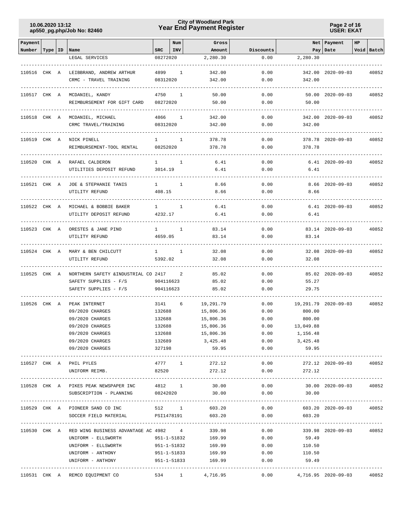## **Year End Payment Register City of Woodland Park 10.06.2020 13:12**

**Page 2 of 16 USER: EKAT**

| Payment      |  |                                                    |                          | Num          | Gross                        |                   |                            | Net Payment              | HP |            |
|--------------|--|----------------------------------------------------|--------------------------|--------------|------------------------------|-------------------|----------------------------|--------------------------|----|------------|
| Number       |  | Type   ID   Name<br>LEGAL SERVICES                 | SRC<br>08272020          | <b>INV</b>   | Amount<br>2,280.30           | Discounts<br>0.00 | 2,280.30                   | Pay   Date               |    | Void Batch |
|              |  |                                                    |                          |              |                              |                   |                            |                          |    |            |
| 110516 CHK A |  | LEIBBRAND, ANDREW ARTHUR                           | 4899                     | 1            | 342.00                       | 0.00              |                            | 342.00 2020-09-03        |    | 40852      |
|              |  | CRMC - TRAVEL TRAINING                             | 08312020                 |              | 342.00                       | 0.00              | 342.00                     |                          |    |            |
|              |  | 110517 CHK A MCDANIEL, KANDY                       | 4750                     | 1            | 50.00                        | 0.00              |                            | $50.00$ $2020 - 09 - 03$ |    | 40852      |
|              |  | REIMBURSEMENT FOR GIFT CARD                        | 08272020                 |              | 50.00                        | 0.00              | 50.00                      |                          |    |            |
| 110518 CHK A |  | MCDANIEL, MICHAEL                                  | 4866                     | 1            | 342.00                       | 0.00              |                            | 342.00 2020-09-03        |    | 40852      |
|              |  | CRMC TRAVEL/TRAINING                               | 08312020                 |              | 342.00                       | 0.00              | 342.00                     |                          |    |            |
|              |  |                                                    |                          |              |                              |                   |                            |                          |    |            |
| 110519 CHK A |  | NICK PINELL<br>REIMBURSEMENT-TOOL RENTAL           | $\mathbf{1}$<br>08252020 | 1            | 378.78<br>378.78             | 0.00<br>0.00      | 378.78                     | 378.78 2020-09-03        |    | 40852      |
|              |  |                                                    |                          |              |                              |                   |                            |                          |    |            |
| 110520 CHK A |  | RAFAEL CALDERON                                    | $\mathbf{1}$             | 1            | 6.41                         | 0.00              |                            | $6.41$ $2020-09-03$      |    | 40852      |
|              |  | UTILITIES DEPOSIT REFUND                           | 3014.19                  |              | 6.41                         | 0.00              | 6.41                       |                          |    |            |
| 110521 CHK A |  | JOE & STEPHANIE TANIS                              | $\mathbf{1}$             | 1            | 8.66                         | 0.00              |                            | $8.66$ $2020 - 09 - 03$  |    | 40852      |
|              |  | UTILITY REFUND                                     | 408.15                   |              | 8.66                         | 0.00              | 8.66                       |                          |    |            |
| 110522 CHK A |  | MICHAEL & BOBBIE BAKER                             | $1 \qquad \qquad$        | $\mathbf{1}$ | 6.41                         | 0.00              |                            | $6.41$ $2020-09-03$      |    | 40852      |
|              |  | UTILITY DEPOSIT REFUND                             | 4232.17                  |              | 6.41                         | 0.00              | 6.41                       |                          |    |            |
|              |  |                                                    |                          |              |                              |                   |                            |                          |    |            |
| 110523 CHK A |  | ORESTES & JANE PINO                                | $1 \qquad \qquad$        | $\mathbf{1}$ | 83.14                        | 0.00              |                            | 83.14 2020-09-03         |    | 40852      |
|              |  | UTILITY REFUND                                     | 4659.05                  |              | 83.14                        | 0.00              | 83.14                      |                          |    |            |
| 110524 CHK A |  | MARY & BEN CHILCUTT                                | 1                        | $\mathbf{1}$ | 32.08                        | 0.00              |                            | 32.08 2020-09-03         |    | 40852      |
|              |  | UTILITY REFUND                                     | 5392.02                  |              | 32.08                        | 0.00              | 32.08                      |                          |    |            |
| 110525 CHK A |  | NORTHERN SAFETY & INDUSTRIAL CO 2417               |                          | 2            | 85.02                        | 0.00              |                            | 85.02 2020-09-03         |    | 40852      |
|              |  | SAFETY SUPPLIES - F/S                              | 904116623                |              | 85.02                        | 0.00              | 55.27                      |                          |    |            |
|              |  | SAFETY SUPPLIES - F/S                              | 904116623                |              | 85.02                        | 0.00              | 29.75                      |                          |    |            |
|              |  |                                                    |                          |              |                              |                   |                            |                          |    |            |
| 110526 CHK A |  | PEAK INTERNET                                      | 3141                     | 6            | 19,291.79                    | 0.00              |                            | 19,291.79 2020-09-03     |    | 40852      |
|              |  | 09/2020 CHARGES<br>09/2020 CHARGES                 | 132688<br>132688         |              | 15,806.36<br>15,806.36       | 0.00<br>0.00      | 800.00<br>800.00           |                          |    |            |
|              |  | 09/2020 CHARGES                                    | 132688                   |              | 15,806.36                    | 0.00              | 13,049.88                  |                          |    |            |
|              |  | 09/2020 CHARGES                                    | 132688                   |              | 15,806.36                    | 0.00              | 1,156.48                   |                          |    |            |
|              |  | 09/2020 CHARGES                                    | 132689                   |              | 3,425.48                     |                   | $0.00$ 3,425.48            |                          |    |            |
|              |  | 09/2020 CHARGES                                    | 327198                   |              | 59.95                        | 0.00              | 59.95                      |                          |    |            |
|              |  |                                                    |                          |              |                              |                   |                            |                          |    |            |
|              |  | 110527 CHK A PHIL PYLES<br>UNIFORM REIMB.          | 82520                    |              | 4777 1 272.12<br>272.12      | 0.00<br>0.00      | 272.12                     | 272.12 2020-09-03 40852  |    |            |
|              |  |                                                    |                          |              |                              |                   |                            |                          |    |            |
|              |  | 110528 CHK A PIKES PEAK NEWSPAPER INC              |                          | 4812 1       | 30.00                        | 0.00              |                            | 30.00 2020-09-03         |    | 40852      |
|              |  | SUBSCRIPTION - PLANNING 08242020                   |                          |              | 30.00                        |                   | $0.00$ 30.00               |                          |    |            |
|              |  | 110529 CHK A PIONEER SAND CO INC                   |                          | 512 1        | 603.20                       | 0.00              |                            | 603.20 2020-09-03        |    | 40852      |
|              |  | SOCCER FIELD MATERIAL                              |                          |              | PSI1478191<br>603.20         | 0.00              | 603.20                     |                          |    |            |
|              |  |                                                    |                          |              |                              |                   |                            |                          |    |            |
|              |  | 110530 CHK A RED WING BUSINESS ADVANTAGE AC 4982 4 |                          |              | 339.98                       | 0.00              |                            | 339.98 2020-09-03 40852  |    |            |
|              |  | UNIFORM - ELLSWORTH                                |                          | 951-1-51832  | 169.99                       | 0.00              | 59.49                      |                          |    |            |
|              |  | UNIFORM - ELLSWORTH                                |                          | 951-1-51832  | 169.99<br>951-1-51833 169.99 | 0.00              | 110.50<br>110.50           |                          |    |            |
|              |  | UNIFORM - ANTHONY<br>UNIFORM - ANTHONY             |                          |              | 951-1-51833 169.99           | 0.00<br>0.00      | 59.49                      |                          |    |            |
|              |  |                                                    |                          |              |                              |                   |                            |                          |    |            |
|              |  | 110531 CHK A REMCO EQUIPMENT CO                    |                          | 534 1        | 4,716.95                     |                   | $0.00$ 4,716.95 2020-09-03 |                          |    | 40852      |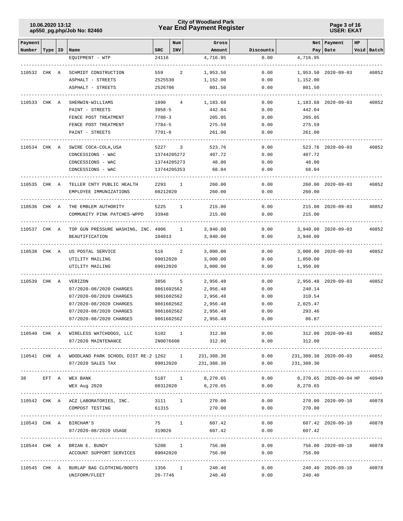## **Year End Payment Register City of Woodland Park 10.06.2020 13:12**

**Page 3 of 16 USER: EKAT**

| Payment      |       |                                                               |            | Num            | Gross             |           |                                     | Net   Payment           | HP |                 |
|--------------|-------|---------------------------------------------------------------|------------|----------------|-------------------|-----------|-------------------------------------|-------------------------|----|-----------------|
| Number       |       | Type   ID   Name                                              | <b>SRC</b> | INV            | Amount            | Discounts |                                     | Pay   Date              |    | Void Batch      |
|              |       | EQUIPMENT - WTP                                               | 24116      |                | 4,716.95          | 0.00      | 4,716.95                            |                         |    |                 |
|              |       |                                                               |            |                |                   |           |                                     |                         |    |                 |
| 110532       | CHK A | SCHMIDT CONSTRUCTION                                          | 559        | 2              | 1,953.50          | 0.00      |                                     | 1,953.50 2020-09-03     |    | 40852           |
|              |       | ASPHALT - STREETS                                             | 2525530    |                | 1,152.00          | 0.00      | 1,152.00                            |                         |    |                 |
|              |       | ASPHALT - STREETS                                             | 2526706    |                | 801.50            | 0.00      | 801.50                              |                         |    |                 |
| 110533 CHK A |       | SHERWIN-WILLIAMS                                              | 1890       | $\overline{4}$ | 1,183.68          | 0.00      |                                     | 1,183.68 2020-09-03     |    | 40852           |
|              |       | PAINT - STREETS                                               | $3958 - 5$ |                | 442.04            | 0.00      | 442.04                              |                         |    |                 |
|              |       | FENCE POST TREATMENT                                          | $7780 - 3$ |                | 205.05            | 0.00      | 205.05                              |                         |    |                 |
|              |       | FENCE POST TREATMENT                                          | $7784 - 5$ |                | 275.59            | 0.00      | 275.59                              |                         |    |                 |
|              |       | PAINT - STREETS                                               | $7791 - 0$ |                | 261.00            | 0.00      | 261.00                              |                         |    |                 |
|              |       |                                                               |            |                |                   |           |                                     |                         |    |                 |
| 110534 CHK A |       | SWIRE COCA-COLA, USA                                          | 5227       | 3              | 523.76            | 0.00      |                                     | 523.76 2020-09-03       |    | 40852           |
|              |       | CONCESSIONS - WAC                                             |            | 13744205272    | 407.72            | 0.00      | 407.72                              |                         |    |                 |
|              |       | CONCESSIONS - WAC                                             |            | 13744205273    | 48.00             | 0.00      | 48.00                               |                         |    |                 |
|              |       | CONCESSIONS - WAC                                             |            | 13744205353    | 68.04             | 0.00      | 68.04                               |                         |    |                 |
| 110535 CHK A |       | TELLER CNTY PUBLIC HEALTH                                     | 2293       | 1              | 260.00            | 0.00      |                                     | 260.00 2020-09-03       |    | 40852           |
|              |       | EMPLOYEE IMMUNIZATIONS                                        | 08212020   |                | 260.00            | 0.00      | 260.00                              |                         |    |                 |
|              |       |                                                               |            |                |                   |           |                                     |                         |    |                 |
| 110536 CHK A |       | THE EMBLEM AUTHORITY                                          | 5225       | 1              | 215.00            | 0.00      |                                     | 215.00 2020-09-03       |    | 40852           |
|              |       | COMMUNITY PINK PATCHES-WPPD                                   | 33948      |                | 215.00            | 0.00      | 215.00                              |                         |    |                 |
|              |       |                                                               |            |                |                   |           |                                     |                         |    |                 |
| 110537 CHK A |       | TOP GUN PRESSURE WASHING, INC. 4906                           |            | $\mathbf{1}$   | 3,940.00          | 0.00      |                                     | 3,940.00 2020-09-03     |    | 40852           |
|              |       | <b>BEAUTIFICATION</b>                                         | 104013     |                | 3,940.00          | 0.00      | 3,940.00                            |                         |    |                 |
| 110538 CHK A |       | US POSTAL SERVICE                                             | 516        | 2              | 3,000.00          | 0.00      |                                     | 3,000.00 2020-09-03     |    | 40852           |
|              |       | UTILITY MAILING                                               | 09012020   |                | 3,000.00          | 0.00      | 1,050.00                            |                         |    |                 |
|              |       | UTILITY MAILING                                               | 09012020   |                | 3,000.00          | 0.00      | 1,950.00                            |                         |    |                 |
|              |       |                                                               |            |                |                   |           |                                     |                         |    |                 |
| 110539       | CHK A | VERIZON                                                       | 3856       | 5              | 2,956.48          | 0.00      |                                     | 2,956.48 2020-09-03     |    | 40852           |
|              |       | 07/2020-08/2020 CHARGES                                       | 9861602562 |                | 2,956.48          | 0.00      | 240.14                              |                         |    |                 |
|              |       | 07/2020-08/2020 CHARGES                                       | 9861602562 |                | 2,956.48          | 0.00      | 310.54                              |                         |    |                 |
|              |       | 07/2020-08/2020 CHARGES                                       | 9861602562 |                | 2,956.48          | 0.00      | 2,025.47                            |                         |    |                 |
|              |       | 07/2020-08/2020 CHARGES                                       | 9861602562 |                | 2,956.48          | 0.00      | 293.46                              |                         |    |                 |
|              |       | 07/2020-08/2020 CHARGES                                       | 9861602562 |                | 2,956.48          | 0.00      | 86.87                               |                         |    |                 |
|              |       |                                                               |            |                | 5102 1 312.00     |           | 0.00                                | 312.00 2020-09-03       |    |                 |
|              |       | 110540 CHK A WIRELESS WATCHDOGS, LLC                          |            |                | IN0076608 312.00  |           | $0.00$ 312.00                       |                         |    | 40852           |
|              |       | 07/2020 MAINTENANCE                                           |            |                |                   |           |                                     |                         |    |                 |
|              |       | 110541 CHK A WOODLAND PARK SCHOOL DIST RE-2 1262 1 231,388.30 |            |                |                   |           | $0.00$ 231,388.30 2020-09-03 40852  |                         |    |                 |
|              |       | 07/2020 SALES TAX                                             |            | 09012020       | 231,388.30        | 0.00      | 231,388.30                          |                         |    |                 |
|              |       |                                                               |            |                |                   |           |                                     |                         |    |                 |
|              |       | 38 EFT A WEX BANK                                             |            |                | 5187 1 8,270.65   |           | $0.00$ 8,270.65 2020-09-04 HP 40949 |                         |    |                 |
|              |       | WEX Aug 2020                                                  |            |                | 08312020 8,270.65 |           | $0.00$ 8,270.65                     |                         |    |                 |
|              |       | 110542 CHK A ACZ LABORATORIES, INC. 3111 1 270.00             |            |                |                   | 0.00      |                                     | 270.00 2020-09-10       |    | 40878           |
|              |       | COMPOST TESTING                                               |            |                | 61315<br>270.00   | 0.00      | 270.00                              |                         |    |                 |
|              |       |                                                               |            |                |                   |           |                                     |                         |    | --------------- |
|              |       | 110543 CHK A BIRCHAM'S                                        |            | 75 1           | 607.42            | 0.00      |                                     | 607.42 2020-09-10 40878 |    |                 |
|              |       | 07/2020-08/2020 USAGE                                         | 319026     |                | 607.42            | 0.00      | 607.42                              |                         |    |                 |
|              |       |                                                               |            |                |                   |           |                                     |                         |    |                 |
|              |       | 110544 CHK A BRIAN E. BUNDY                                   |            | 5208 1         | 756.00            |           | 0.00                                | 756.00 2020-09-10 40878 |    |                 |
|              |       | ACCOUNT SUPPORT SERVICES                                      | 09042020   |                | 756.00            | 0.00      | 756.00                              |                         |    |                 |
|              |       | 110545 CHK A BURLAP BAG CLOTHING/BOOTS                        | 1356 1     |                | 240.40            | 0.00      |                                     | 240.40 2020-09-10       |    | 40878           |
|              |       | UNIFORM/FLEET                                                 | 20-7746    |                | 240.40            | 0.00      | 240.40                              |                         |    |                 |
|              |       |                                                               |            |                |                   |           |                                     |                         |    |                 |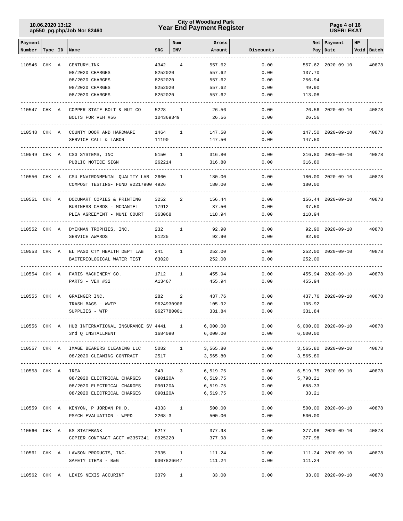## **Year End Payment Register City of Woodland Park 10.06.2020 13:12**

**Page 4 of 16 USER: EKAT**

| Payment           |           |                                             |            | Num            | Gross           |           |                                        | Net   Payment       | HP |            |
|-------------------|-----------|---------------------------------------------|------------|----------------|-----------------|-----------|----------------------------------------|---------------------|----|------------|
| Number            | Type   ID | Name                                        | <b>SRC</b> | INV            | Amount          | Discounts |                                        | Pay   Date          |    | Void Batch |
|                   |           |                                             |            |                |                 |           |                                        |                     |    |            |
| 110546 CHK A      |           | CENTURYLINK                                 | 4342       | $\overline{4}$ | 557.62          | 0.00      |                                        | 557.62 2020-09-10   |    | 40878      |
|                   |           | 08/2020 CHARGES                             | 8252020    |                | 557.62          | 0.00      | 137.70                                 |                     |    |            |
|                   |           | 08/2020 CHARGES                             | 8252020    |                | 557.62          | 0.00      | 256.94                                 |                     |    |            |
|                   |           | 08/2020 CHARGES                             | 8252020    |                | 557.62          | 0.00      | 49.90                                  |                     |    |            |
|                   |           | 08/2020 CHARGES                             | 8252020    |                | 557.62          | 0.00      | 113.08                                 |                     |    |            |
|                   |           |                                             |            |                |                 |           |                                        |                     |    |            |
| 110547 CHK A      |           | COPPER STATE BOLT & NUT CO                  | 5228       | 1              | 26.56           | 0.00      |                                        | 26.56 2020-09-10    |    | 40878      |
|                   |           | BOLTS FOR VEH #56                           | 104369349  |                | 26.56           | 0.00      | 26.56                                  |                     |    |            |
|                   |           |                                             |            |                |                 |           |                                        |                     |    |            |
| 110548 CHK A      |           | COUNTY DOOR AND HARDWARE                    | 1464       | 1              | 147.50          | 0.00      |                                        | 147.50 2020-09-10   |    | 40878      |
|                   |           | SERVICE CALL & LABOR                        | 11190      |                | 147.50          | 0.00      | 147.50                                 |                     |    |            |
|                   |           |                                             |            |                |                 |           |                                        |                     |    |            |
| 110549 CHK A      |           | CSG SYSTEMS, INC                            | 5150       | 1              | 316.80          | 0.00      |                                        | 316.80 2020-09-10   |    | 40878      |
|                   |           | PUBLIC NOTICE SIGN                          | 262214     |                | 316.80          | 0.00      | 316.80                                 |                     |    |            |
| 110550 CHK A      |           | CSU ENVIRONMENTAL QUALITY LAB 2660          |            | 1              | 180.00          | 0.00      |                                        | 180.00 2020-09-10   |    | 40878      |
|                   |           | COMPOST TESTING- FUND #2217900 4926         |            |                | 180.00          | 0.00      | 180.00                                 |                     |    |            |
|                   |           |                                             |            |                |                 |           |                                        |                     |    |            |
| 110551 CHK A      |           | DOCUMART COPIES & PRINTING                  | 3252       | 2              | 156.44          | 0.00      |                                        | 156.44 2020-09-10   |    | 40878      |
|                   |           | BUSINESS CARDS - MCDANIEL                   | 17912      |                | 37.50           | 0.00      | 37.50                                  |                     |    |            |
|                   |           | PLEA AGREEMENT - MUNI COURT                 | 363068     |                | 118.94          | 0.00      | 118.94                                 |                     |    |            |
|                   |           |                                             |            |                |                 |           |                                        |                     |    |            |
| 110552 CHK A      |           | DYEKMAN TROPHIES, INC.                      | 232        | 1              | 92.90           | 0.00      |                                        | 92.90 2020-09-10    |    | 40878      |
|                   |           | SERVICE AWARDS                              | 81225      |                | 92.90           | 0.00      | 92.90                                  |                     |    |            |
|                   |           |                                             |            |                |                 |           |                                        |                     |    |            |
| 110553 CHK A      |           | EL PASO CTY HEALTH DEPT LAB                 | 241        | 1              | 252.00          | 0.00      |                                        | 252.00 2020-09-10   |    | 40878      |
|                   |           | BACTERIOLOGICAL WATER TEST                  | 63020      |                | 252.00          | 0.00      | 252.00                                 |                     |    |            |
|                   |           |                                             |            |                |                 |           |                                        |                     |    |            |
| 110554 CHK A      |           | FARIS MACHINERY CO.                         | 1712       | $\mathbf{1}$   | 455.94          | 0.00      |                                        | 455.94 2020-09-10   |    | 40878      |
|                   |           | PARTS - VEH #32                             | A13467     |                | 455.94          | 0.00      | 455.94                                 |                     |    |            |
|                   |           |                                             |            |                |                 |           |                                        |                     |    |            |
| 110555 CHK A      |           | GRAINGER INC.                               | 282        | 2              | 437.76          | 0.00      |                                        | 437.76 2020-09-10   |    | 40878      |
|                   |           | TRASH BAGS - WWTP                           | 9624930906 |                | 105.92          | 0.00      | 105.92                                 |                     |    |            |
|                   |           | SUPPLIES - WTP                              | 9627780001 |                | 331.84          | 0.00      | 331.84                                 |                     |    |            |
|                   |           |                                             |            |                |                 |           |                                        |                     |    |            |
| 110556 CHK A      |           | HUB INTERNATIONAL INSURANCE SV 4441         |            | $\mathbf{1}$   | 6,000.00        | 0.00      |                                        | 6,000.00 2020-09-10 |    | 40878      |
|                   |           | 3rd Q INSTALLMENT                           | 1684090    |                | 6,000.00        | 0.00      | 6,000.00                               |                     |    |            |
|                   |           | 110557 CHK A IMAGE BEARERS CLEANING LLC     |            |                | 5082 1 3,565.80 | 0.00      | 3,565.80 2020-09-10                    |                     |    | 40878      |
|                   |           | 08/2020 CLEANING CONTRACT                   | 2517       |                | 3,565.80        | 0.00      | 3,565.80                               |                     |    |            |
|                   |           |                                             |            |                |                 |           |                                        |                     |    |            |
| 110558 CHK A IREA |           |                                             |            | 343 3          |                 | 6,519.75  | $0.00$ 6,519.75 2020-09-10             |                     |    | 40878      |
|                   |           | 08/2020 ELECTRICAL CHARGES                  | 090120A    |                |                 | 6,519.75  | $0.00$ 5,798.21                        |                     |    |            |
|                   |           | 08/2020 ELECTRICAL CHARGES 090120A 6,519.75 |            |                |                 |           | $0.00$ 688.33                          |                     |    |            |
|                   |           | 08/2020 ELECTRICAL CHARGES 090120A          |            |                | 6,519.75        | 0.00      | 33.21                                  |                     |    |            |
|                   |           |                                             |            |                |                 |           |                                        |                     |    |            |
|                   |           | 110559 CHK A KENYON, P JORDAN PH.D.         | 4333 1     |                | 500.00          | 0.00      |                                        | 500.00 2020-09-10   |    | 40878      |
|                   |           | PSYCH EVALUATION - WPPD                     | $2208 - 3$ |                | 500.00          | 0.00      | 500.00                                 |                     |    |            |
|                   |           |                                             |            |                |                 |           |                                        |                     |    |            |
|                   |           | 110560 CHK A KS STATEBANK                   | 5217 1     |                | 377.98          |           | 0.00                                   | 377.98 2020-09-10   |    | 40878      |
|                   |           | COPIER CONTRACT ACCT #3357341 0925220       |            |                | 377.98          | 0.00      | 377.98                                 |                     |    |            |
|                   |           |                                             |            |                |                 |           |                                        |                     |    |            |
|                   |           | 110561 CHK A LAWSON PRODUCTS, INC.          |            |                | 2935 1 111.24   | 0.00      |                                        | 111.24 2020-09-10   |    | 40878      |
|                   |           | SAFETY ITEMS - B&G 9307826647 111.24        |            |                |                 | 0.00      | 111.24                                 |                     |    |            |
|                   |           |                                             |            |                |                 |           | -------------------------------------- |                     |    |            |
|                   |           | 110562 CHK A LEXIS NEXIS ACCURINT           | 3379 1     |                | 33.00           | 0.00      |                                        | 33.00 2020-09-10    |    | 40878      |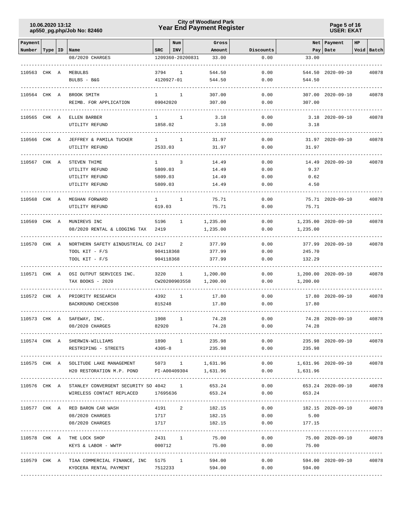## **Year End Payment Register City of Woodland Park 10.06.2020 13:12**

**Page 5 of 16 USER: EKAT**

| Payment      |           |                                                                                |                   | Num |              | Gross         |              |                                     | Net Payment             | HP |            |
|--------------|-----------|--------------------------------------------------------------------------------|-------------------|-----|--------------|---------------|--------------|-------------------------------------|-------------------------|----|------------|
| Number       | Type   ID | Name                                                                           | <b>SRC</b>        | INV |              | Amount        | Discounts    |                                     | Pay   Date              |    | Void Batch |
|              |           | 08/2020 CHARGES                                                                | 1209360-20200831  |     |              | 33.00         | 0.00         | 33.00                               |                         |    |            |
|              |           |                                                                                |                   |     |              |               |              |                                     |                         |    |            |
| 110563 CHK A |           | MEBULBS                                                                        | 3794              |     | 1            | 544.50        | 0.00         |                                     | 544.50 2020-09-10       |    | 40878      |
|              |           | BULBS - B&G                                                                    | 4120927-01        |     |              | 544.50        | 0.00         | 544.50                              |                         |    |            |
| 110564 CHK A |           | BROOK SMITH                                                                    | $1 \qquad \qquad$ |     | $\mathbf{1}$ | 307.00        | 0.00         |                                     | 307.00 2020-09-10       |    | 40878      |
|              |           | REIMB. FOR APPLICATION                                                         | 09042020          |     |              | 307.00        | 0.00         | 307.00                              |                         |    |            |
|              |           |                                                                                |                   |     |              |               |              |                                     |                         |    |            |
| 110565 CHK A |           | ELLEN BARBER                                                                   | $\mathbf{1}$      |     | 1            | 3.18          | 0.00         |                                     | $3.18$ $2020 - 09 - 10$ |    | 40878      |
|              |           | UTILITY REFUND                                                                 | 1858.02           |     |              | 3.18          | 0.00         | 3.18                                |                         |    |            |
| 110566 CHK A |           | JEFFREY & PAMILA TUCKER                                                        | $\mathbf{1}$      |     | 1            | 31.97         | 0.00         |                                     | 31.97 2020-09-10        |    | 40878      |
|              |           | UTILITY REFUND                                                                 | 2533.03           |     |              | 31.97         | 0.00         | 31.97                               |                         |    |            |
|              |           |                                                                                |                   |     |              |               |              |                                     |                         |    |            |
| 110567 CHK A |           | STEVEN THIME                                                                   | 1                 |     | 3            | 14.49         | 0.00         |                                     | 14.49 2020-09-10        |    | 40878      |
|              |           | UTILITY REFUND                                                                 | 5809.03           |     |              | 14.49         | 0.00         | 9.37                                |                         |    |            |
|              |           | UTILITY REFUND                                                                 | 5809.03           |     |              | 14.49         | 0.00         | 0.62                                |                         |    |            |
|              |           | UTILITY REFUND                                                                 | 5809.03           |     |              | 14.49         | 0.00         | 4.50                                |                         |    |            |
| 110568 CHK A |           | MEGHAN FORWARD                                                                 | $1 \quad \cdots$  |     | 1            | 75.71         | 0.00         |                                     | 75.71 2020-09-10        |    | 40878      |
|              |           | UTILITY REFUND                                                                 | 619.03            |     |              | 75.71         | 0.00         | 75.71                               |                         |    |            |
|              |           |                                                                                |                   |     |              |               |              |                                     |                         |    |            |
| 110569 CHK A |           | MUNIREVS INC                                                                   | 5196              |     | $\mathbf{1}$ | 1,235.00      | 0.00         |                                     | 1,235.00 2020-09-10     |    | 40878      |
|              |           | 08/2020 RENTAL & LODGING TAX                                                   | 2419              |     |              | 1,235.00      | 0.00         | 1,235.00                            |                         |    |            |
|              |           |                                                                                |                   |     |              |               |              |                                     |                         |    |            |
| 110570 CHK A |           | NORTHERN SAFETY & INDUSTRIAL CO 2417                                           |                   |     | 2            | 377.99        | 0.00         |                                     | 377.99 2020-09-10       |    | 40878      |
|              |           | TOOL KIT - F/S                                                                 | 904118368         |     |              | 377.99        | 0.00         | 245.70                              |                         |    |            |
|              |           | TOOL KIT - F/S                                                                 | 904118368         |     |              | 377.99        | 0.00         | 132.29                              |                         |    |            |
| 110571 CHK A |           | OSI OUTPUT SERVICES INC.                                                       | 3220              |     | 1            | 1,200.00      | 0.00         |                                     | 1,200.00 2020-09-10     |    | 40878      |
|              |           | TAX BOOKS - 2020                                                               | CW20200903558     |     |              | 1,200.00      | 0.00         | 1,200.00                            |                         |    |            |
|              |           |                                                                                |                   |     |              |               |              |                                     |                         |    |            |
| 110572 CHK A |           | PRIORITY RESEARCH                                                              | 4392              |     | $\mathbf{1}$ | 17.80         | 0.00         |                                     | 17.80 2020-09-10        |    | 40878      |
|              |           | BACKROUND CHECKS08                                                             | 815248            |     |              | 17.80         | 0.00         | 17.80                               |                         |    |            |
| 110573 CHK A |           | SAFEWAY, INC.                                                                  | 1908              |     | $\mathbf{1}$ | 74.28         | 0.00         |                                     | 74.28 2020-09-10        |    | 40878      |
|              |           | 08/2020 CHARGES                                                                | 82920             |     |              | 74.28         | 0.00         | 74.28                               |                         |    |            |
|              |           |                                                                                |                   |     |              |               |              |                                     |                         |    |            |
|              |           | 110574 CHK A SHERWIN-WILLIAMS                                                  |                   |     |              | 1890 1 235.98 |              | $0.00$ 235.98 2020-09-10 40878      |                         |    |            |
|              |           | RESTRIPING - STREETS                                                           | $4305 - 8$        |     |              | 235.98        | 0.00         | 235.98                              |                         |    |            |
|              |           | 110575 CHK A SOLITUDE LAKE MANAGEMENT 5073 1 1,631.96 0.00 1,631.96 2020-09-10 |                   |     |              |               |              |                                     |                         |    | 40878      |
|              |           | H20 RESTORATION M.P. POND PI-A00409304 1,631.96 0.00                           |                   |     |              |               |              | 1,631.96                            |                         |    |            |
|              |           |                                                                                |                   |     |              |               |              |                                     |                         |    |            |
|              |           | 110576 CHK A STANLEY CONVERGENT SECURITY SO 4042 1 653.24                      |                   |     |              |               |              | $0.00$ 653.24 2020-09-10            |                         |    | 40878      |
|              |           | WIRELESS CONTACT REPLACED 17695636 653.24                                      |                   |     |              |               |              | $0.00$ 653.24                       |                         |    |            |
|              |           |                                                                                |                   |     |              |               |              |                                     |                         |    |            |
|              |           | 110577 CHK A RED BARON CAR WASH                                                | 4191 2            |     |              | 182.15        | 0.00         |                                     | 182.15 2020-09-10       |    | 40878      |
|              |           | 08/2020 CHARGES                                                                | 1717<br>1717      |     |              | 182.15        | 0.00<br>0.00 | 5.00                                |                         |    |            |
|              |           | 08/2020 CHARGES                                                                |                   |     |              | 182.15        |              | 177.15                              |                         |    |            |
|              |           | 110578 CHK A THE LOCK SHOP                                                     |                   |     |              | 2431 1 75.00  |              | $0.00$ $75.00$ $2020-09-10$ $40878$ |                         |    |            |
|              |           | KEYS & LABOR - WWTP 000712                                                     |                   |     |              | 75.00         | 0.00         | 75.00                               |                         |    |            |
|              |           |                                                                                |                   |     |              |               |              |                                     |                         |    |            |
|              |           | 110579 CHK A TIAA COMMERCIAL FINANCE, INC 5175 1 594.00                        |                   |     |              |               |              | 0.00                                | 594.00 2020-09-10       |    | 40878      |
|              |           | KYOCERA RENTAL PAYMENT 7512233                                                 |                   |     |              | 594.00        |              | 0.00<br>594.00                      |                         |    |            |
|              |           |                                                                                |                   |     |              |               |              |                                     |                         |    |            |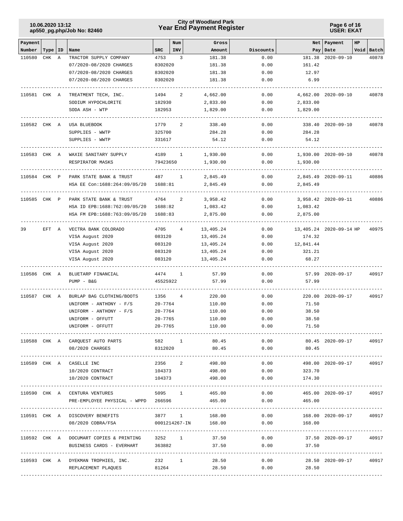## **Year End Payment Register City of Woodland Park 10.06.2020 13:12**

**Page 6 of 16 USER: EKAT**

| Payment      |           |   |                                         |             | Num          | Gross                |                                   |           | Net   Payment           | HP |            |
|--------------|-----------|---|-----------------------------------------|-------------|--------------|----------------------|-----------------------------------|-----------|-------------------------|----|------------|
| Number       | Type   ID |   | Name                                    | SRC         | <b>INV</b>   | Amount               | Discounts                         |           | Pay Date                |    | Void Batch |
| 110580       | CHK       | Α | TRACTOR SUPPLY COMPANY                  | 4753        | 3            | 181.38               | 0.00                              |           | 181.38 2020-09-10       |    | 40878      |
|              |           |   | 07/2020-08/2020 CHARGES                 | 8302020     |              | 181.38               | 0.00                              | 161.42    |                         |    |            |
|              |           |   | 07/2020-08/2020 CHARGES                 | 8302020     |              | 181.38               | 0.00                              | 12.97     |                         |    |            |
|              |           |   | 07/2020-08/2020 CHARGES                 | 8302020     |              | 181.38               | 0.00                              | 6.99      |                         |    |            |
| 110581 CHK A |           |   | TREATMENT TECH, INC.                    | 1494        | 2            | 4,662.00             | 0.00                              |           | 4,662.00 2020-09-10     |    | 40878      |
|              |           |   | SODIUM HYPOCHLORITE                     | 182930      |              | 2,833.00             | 0.00                              | 2,833.00  |                         |    |            |
|              |           |   | SODA ASH - WTP                          | 182953      |              | 1,829.00             | 0.00                              | 1,829.00  |                         |    |            |
| 110582 CHK A |           |   | USA BLUEBOOK                            | 1779        | 2            | 338.40               | 0.00                              |           | 338.40 2020-09-10       |    | 40878      |
|              |           |   | SUPPLIES - WWTP                         | 325700      |              | 284.28               | 0.00                              | 284.28    |                         |    |            |
|              |           |   | SUPPLIES - WWTP                         | 331617      |              | 54.12                | 0.00                              | 54.12     |                         |    |            |
| 110583 CHK A |           |   | WAXIE SANITARY SUPPLY                   | 4189        | $\mathbf{1}$ | 1,930.00             | 0.00                              |           | 1,930.00 2020-09-10     |    | 40878      |
|              |           |   | RESPIRATOR MASKS                        | 79423650    |              | 1,930.00             | 0.00                              | 1,930.00  |                         |    |            |
| 110584 CHK P |           |   | PARK STATE BANK & TRUST                 | 487 —       | $\mathbf{1}$ | 2,845.49             | 0.00                              |           | 2,845.49 2020-09-11     |    | 40886      |
|              |           |   | HSA EE Con:1688:264:09/05/20            | 1688:81     |              | 2,845.49             | 0.00                              | 2,845.49  |                         |    |            |
| 110585 CHK P |           |   | PARK STATE BANK & TRUST                 | 4764        | 2            | 3,958.42             | 0.00                              |           | 3,958.42 2020-09-11     |    | 40886      |
|              |           |   | HSA ID EPB:1688:762:09/05/20            | 1688:82     |              | 1,083.42             | 0.00                              | 1,083.42  |                         |    |            |
|              |           |   | HSA FM EPB:1688:763:09/05/20            | 1688:83     |              | 2,875.00             | 0.00                              | 2,875.00  |                         |    |            |
| 39           |           |   | EFT A VECTRA BANK COLORADO              | 4705        | 4            | 13,405.24            | 0.00                              |           | 13,405.24 2020-09-14 HP |    | 40975      |
|              |           |   | VISA August 2020                        | 083120      |              | 13,405.24            | 0.00                              | 174.32    |                         |    |            |
|              |           |   | VISA August 2020                        | 083120      |              | 13,405.24            | 0.00                              | 12,841.44 |                         |    |            |
|              |           |   | VISA August 2020                        | 083120      |              | 13,405.24            | 0.00                              | 321.21    |                         |    |            |
|              |           |   | VISA August 2020                        | 083120      |              | 13,405.24            | 0.00                              | 68.27     |                         |    |            |
| 110586 CHK A |           |   | BLUETARP FINANCIAL                      | 4474        | 1            | 57.99                | 0.00                              |           | 57.99 2020-09-17        |    | 40917      |
|              |           |   | $PUMP - B&G$                            | 45525922    |              | 57.99                | 0.00                              | 57.99     |                         |    |            |
| 110587 CHK A |           |   | BURLAP BAG CLOTHING/BOOTS               | 1356 4      |              | 220.00               | 0.00                              |           | 220.00 2020-09-17       |    | 40917      |
|              |           |   | UNIFORM - ANTHONY - F/S                 | 20-7764     |              | 110.00               | 0.00                              | 71.50     |                         |    |            |
|              |           |   | UNIFORM - ANTHONY - $F/S$               | 20-7764     |              | 110.00               | 0.00                              | 38.50     |                         |    |            |
|              |           |   | UNIFORM - OFFUTT                        | $20 - 7765$ |              | 110.00               | 0.00                              | 38.50     |                         |    |            |
|              |           |   | UNIFORM - OFFUTT                        | $20 - 7765$ |              | 110.00               | 0.00                              | 71.50     |                         |    |            |
|              |           |   | 110588 CHK A CARQUEST AUTO PARTS        | 582 1       |              | 80.45                | 0.00                              |           | 80.45 2020-09-17        |    | 40917      |
|              |           |   | 08/2020 CHARGES                         | 8312020     |              | 80.45                | 0.00                              | 80.45     |                         |    |            |
|              |           |   | 110589 CHK A CASELLE INC                |             | 2356 2       | 498.00               | -------------------------<br>0.00 |           | 498.00 2020-09-17       |    | 40917      |
|              |           |   | 10/2020 CONTRACT                        | 104373      |              | 498.00               | 0.00                              | 323.70    |                         |    |            |
|              |           |   | 10/2020 CONTRACT                        | 104373      |              | 498.00               | 0.00                              | 174.30    |                         |    |            |
|              |           |   | 110590 CHK A CENTURA VENTURES           |             | 5095 1       | 465.00               | 0.00                              |           | 465.00 2020-09-17       |    | 40917      |
|              |           |   | PRE-EMPLOYEE PHYSICAL - WPPD 266596     |             |              | 465.00               | 0.00                              | 465.00    |                         |    |            |
|              |           |   |                                         |             |              |                      |                                   |           |                         |    |            |
|              |           |   | 110591 CHK A DISCOVERY BENEFITS         |             | 3877 1       | 168.00               | 0.00                              |           | 168.00 2020-09-17       |    | 40917      |
|              |           |   | 08/2020 COBRA/FSA                       |             |              | 0001214267-IN 168.00 | 0.00                              | 168.00    |                         |    |            |
|              |           |   | 110592 CHK A DOCUMART COPIES & PRINTING |             | 3252 1       | 37.50                | 0.00                              |           | 37.50 2020-09-17        |    | 40917      |
|              |           |   | BUSINESS CARDS - EVERHART               | 363882      |              | 37.50                | 0.00                              | 37.50     |                         |    |            |
|              |           |   | 110593 CHK A DYEKMAN TROPHIES, INC.     | 232 1       |              | 28.50                | 0.00                              |           | 28.50 2020-09-17        |    | 40917      |
|              |           |   | REPLACEMENT PLAQUES                     | 81264       |              | 28.50                | 0.00                              | 28.50     |                         |    |            |
|              |           |   |                                         |             |              |                      |                                   |           |                         |    |            |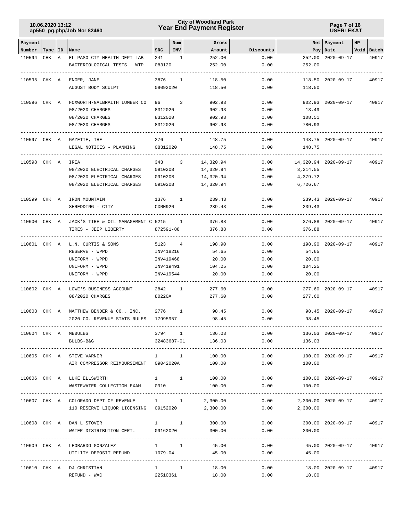## **Year End Payment Register City of Woodland Park 10.06.2020 13:12**

**Page 7 of 16 USER: EKAT**

| Payment      |           |   |                                           |             | Num            | Gross                  |           |                             | Net Payment               | HP |                 |
|--------------|-----------|---|-------------------------------------------|-------------|----------------|------------------------|-----------|-----------------------------|---------------------------|----|-----------------|
| Number       | Type   ID |   | Name                                      | <b>SRC</b>  | INV            | Amount                 | Discounts |                             | Pay   Date                |    | Void Batch      |
| 110594       | CHK       | A | EL PASO CTY HEALTH DEPT LAB               | 241         | 1              | 252.00                 | 0.00      |                             | 252.00 2020-09-17         |    | 40917           |
|              |           |   | BACTERIOLOGICAL TESTS - WTP               | 083120      |                | 252.00                 | 0.00      | 252.00                      |                           |    |                 |
| 110595 CHK A |           |   | ENGER, JANE                               | 3876        | 1              | 118.50                 | 0.00      |                             | 118.50 2020-09-17         |    | 40917           |
|              |           |   | AUGUST BODY SCULPT                        | 09092020    |                | 118.50                 | 0.00      | 118.50                      |                           |    |                 |
|              |           |   |                                           |             |                |                        |           |                             |                           |    |                 |
| 110596 CHK A |           |   | FOXWORTH-GALBRAITH LUMBER CO              | 96 —        | 3              | 902.93                 | 0.00      |                             | 902.93 2020-09-17         |    | 40917           |
|              |           |   | 08/2020 CHARGES                           | 8312020     |                | 902.93                 | 0.00      | 13.49                       |                           |    |                 |
|              |           |   | 08/2020 CHARGES                           | 8312020     |                | 902.93                 | 0.00      | 108.51                      |                           |    |                 |
|              |           |   | 08/2020 CHARGES                           | 8312020     |                | 902.93                 | 0.00      | 780.93                      |                           |    |                 |
| 110597 CHK A |           |   | GAZETTE, THE                              | 276         | 1              | 148.75                 | 0.00      |                             | 148.75 2020-09-17         |    | 40917           |
|              |           |   | LEGAL NOTICES - PLANNING                  | 08312020    |                | 148.75                 | 0.00      | 148.75                      |                           |    |                 |
|              |           |   | IREA                                      | 343         | 3              |                        | 0.00      |                             |                           |    |                 |
| 110598 CHK A |           |   | 08/2020 ELECTRICAL CHARGES                | 091020B     |                | 14,320.94<br>14,320.94 | 0.00      | 3, 214.55                   | 14,320.94 2020-09-17      |    | 40917           |
|              |           |   | 08/2020 ELECTRICAL CHARGES                | 091020B     |                | 14,320.94              | 0.00      | 4,379.72                    |                           |    |                 |
|              |           |   | 08/2020 ELECTRICAL CHARGES                | 091020B     |                | 14,320.94              | 0.00      | 6,726.67                    |                           |    |                 |
|              |           |   |                                           |             |                |                        |           |                             |                           |    |                 |
| 110599 CHK A |           |   | IRON MOUNTAIN                             | 1376        | 1              | 239.43                 | 0.00      |                             | 239.43 2020-09-17         |    | 40917           |
|              |           |   | SHREDDING - CITY                          | CXRH920     |                | 239.43                 | 0.00      | 239.43                      |                           |    |                 |
| 110600 CHK A |           |   | JACK'S TIRE & OIL MANAGEMENT C 5215       |             | $\mathbf{1}$   | 376.88                 | 0.00      |                             | 376.88 2020-09-17         |    | 40917           |
|              |           |   | TIRES - JEEP LIBERTY                      | 872591-88   |                | 376.88                 | 0.00      | 376.88                      |                           |    |                 |
|              |           |   |                                           |             |                |                        |           |                             |                           |    |                 |
| 110601 CHK A |           |   | L.N. CURTIS & SONS                        | 5123        | $\overline{4}$ | 198.90                 | 0.00      |                             | 198.90 2020-09-17         |    | 40917           |
|              |           |   | RESERVE - WPPD                            | INV418216   |                | 54.65                  | 0.00      | 54.65                       |                           |    |                 |
|              |           |   | UNIFORM - WPPD                            | INV419468   |                | 20.00                  | 0.00      | 20.00                       |                           |    |                 |
|              |           |   | UNIFORM - WPPD                            | INV419491   |                | 104.25                 | 0.00      | 104.25                      |                           |    |                 |
|              |           |   | UNIFORM - WPPD                            | INV419544   |                | 20.00                  | 0.00      | 20.00                       |                           |    |                 |
| 110602 CHK A |           |   | LOWE'S BUSINESS ACCOUNT                   | 2842        | 1              | 277.60                 | 0.00      |                             | 277.60 2020-09-17         |    | 40917           |
|              |           |   | 08/2020 CHARGES                           | 80220A      |                | 277.60                 | 0.00      | 277.60                      |                           |    |                 |
| 110603 CHK A |           |   | MATTHEW BENDER & CO., INC.                | 2776        | 1              | 98.45                  | 0.00      |                             | 98.45 2020-09-17          |    | 40917           |
|              |           |   | 2020 CO. REVENUE STATS RULES              | 17995957    |                | 98.45                  | 0.00      | 98.45                       |                           |    |                 |
|              |           |   |                                           |             |                |                        |           |                             |                           |    |                 |
|              |           |   | 110604 CHK A MEBULBS                      |             |                | 3794 1 136.03          |           | 0.00                        | 136.03 2020-09-17         |    | 40917           |
|              |           |   | BULBS-B&G<br>--------------------         |             |                | 32483687-01 136.03     | 0.00      | 136.03                      |                           |    |                 |
|              |           |   | 110605 CHK A STEVE VARNER                 | $1 \quad 1$ |                | 100.00                 | 0.00      |                             | 100.00 2020-09-17 40917   |    |                 |
|              |           |   | AIR COMPRESSOR REIMBURSEMENT 09042020A    |             |                | 100.00                 | 0.00      | 100.00                      |                           |    |                 |
|              |           |   | 110606 CHK A LUKE ELLSWORTH               | $1 \quad 1$ |                | 100.00                 |           | 0.00                        | 100.00 2020-09-17         |    | 40917           |
|              |           |   | WASTEWATER COLLECTION EXAM 0910           |             |                | 100.00                 |           | $0.00$ 100.00               |                           |    |                 |
|              |           |   |                                           |             |                |                        |           |                             |                           |    | --------------- |
|              |           |   | 110607 CHK A COLORADO DEPT OF REVENUE 1 1 |             |                | 2,300.00               |           | 0.00                        | 2,300.00 2020-09-17 40917 |    |                 |
|              |           |   | 110 RESERVE LIQUOR LICENSING 09152020     |             |                | 2,300.00               |           | $0.00$ 2,300.00             |                           |    |                 |
|              |           |   |                                           |             |                |                        |           |                             |                           |    |                 |
|              |           |   | 110608 CHK A DAN L STOVER                 | $1 \quad 1$ |                | 300.00                 | 0.00      |                             | 300.00 2020-09-17 40917   |    |                 |
|              |           |   | WATER DISTRIBUTION CERT. 09162020         |             |                | 300.00                 | 0.00      | 300.00                      |                           |    |                 |
|              |           |   | 110609 CHK A LEOBARDO GONZALEZ            | $1 \quad 1$ |                | 45.00                  |           | $0.00$ $45.00$ $2020-09-17$ |                           |    | 40917           |
|              |           |   | UTILITY DEPOSIT REFUND 1079.04            |             |                | 45.00                  | 0.00      | 45.00                       |                           |    |                 |
|              |           |   |                                           |             |                |                        |           |                             |                           |    |                 |
|              |           |   | 110610 CHK A DJ CHRISTIAN                 | $1 \quad 1$ |                | 18.00                  | 0.00      |                             | 18.00 2020-09-17          |    | 40917           |
|              |           |   | REFUND - WAC                              | 22510361    |                | 18.00                  | 0.00      | 18.00                       |                           |    |                 |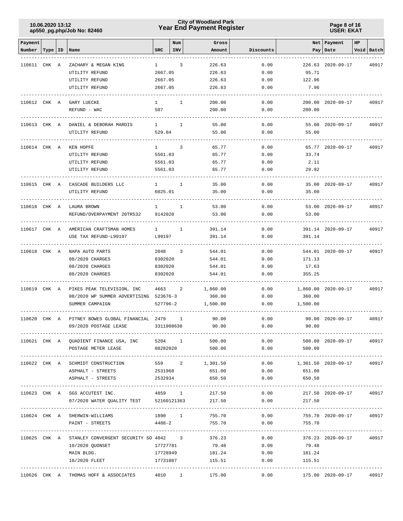## **Year End Payment Register City of Woodland Park 10.06.2020 13:12**

#### **Page 8 of 16 USER: EKAT**

| Payment      |           |                                                           |                    | Num          | Gross              |              |                    | Net   Payment           | HP |                 |
|--------------|-----------|-----------------------------------------------------------|--------------------|--------------|--------------------|--------------|--------------------|-------------------------|----|-----------------|
| Number       | Type   ID | Name                                                      | <b>SRC</b>         | <b>INV</b>   | Amount             | Discounts    |                    | Pay   Date              |    | Void Batch      |
|              |           |                                                           |                    |              |                    |              |                    |                         |    |                 |
| 110611 CHK A |           | ZACHARY & MEGAN KING                                      | $\mathbf{1}$       | 3            | 226.63             | 0.00         |                    | 226.63 2020-09-17       |    | 40917           |
|              |           | UTILITY REFUND                                            | 2667.05            |              | 226.63             | 0.00         | 95.71              |                         |    |                 |
|              |           | UTILITY REFUND                                            | 2667.05            |              | 226.63             | 0.00         | 122.96             |                         |    |                 |
|              |           | UTILITY REFUND                                            | 2667.05            |              | 226.63             | 0.00         | 7.96               |                         |    |                 |
| 110612 CHK A |           | GARY LUECKE                                               | $1 \quad$          | 1            | 200.00             | 0.00         |                    | 200.00 2020-09-17       |    | 40917           |
|              |           | REFUND - WAC                                              | 507                |              | 200.00             | 0.00         | 200.00             |                         |    |                 |
|              |           |                                                           |                    |              |                    |              |                    |                         |    |                 |
| 110613 CHK A |           | DANIEL & DEBORAH MARDIS                                   | 1                  | 1            | 55.00              | 0.00         |                    | 55.00 2020-09-17        |    | 40917           |
|              |           | UTILITY REFUND                                            | 529.04             |              | 55.00              | 0.00         | 55.00              |                         |    |                 |
|              |           |                                                           |                    |              |                    |              |                    |                         |    |                 |
| 110614 CHK A |           | KEN HOPFE                                                 | $\mathbf{1}$       | 3            | 65.77              | 0.00<br>0.00 | 33.74              | 65.77 2020-09-17        |    | 40917           |
|              |           | UTILITY REFUND<br>UTILITY REFUND                          | 5561.03<br>5561.03 |              | 65.77<br>65.77     | 0.00         | 2.11               |                         |    |                 |
|              |           | UTILITY REFUND                                            | 5561.03            |              | 65.77              | 0.00         | 29.92              |                         |    |                 |
|              |           |                                                           |                    |              |                    |              |                    |                         |    |                 |
| 110615 CHK A |           | CASCADE BUILDERS LLC                                      | $1 \quad \cdots$   | 1            | 35.00              | 0.00         |                    | 35.00 2020-09-17        |    | 40917           |
|              |           | UTILITY REFUND                                            | 6025.01            |              | 35.00              | 0.00         | 35.00              |                         |    |                 |
|              |           |                                                           |                    |              |                    |              |                    |                         |    |                 |
| 110616 CHK A |           | LAURA BROWN                                               | $1 \qquad \qquad$  | $\mathbf{1}$ | 53.00              | 0.00         |                    | 53.00 2020-09-17        |    | 40917           |
|              |           | REFUND/OVERPAYMENT 20TR532                                | 9142020            |              | 53.00              | 0.00         | 53.00              |                         |    |                 |
| 110617 CHK A |           | AMERICAN CRAFTSMAN HOMES                                  | $\mathbf{1}$       | $\mathbf{1}$ | 391.14             | 0.00         |                    | 391.14 2020-09-17       |    | 40917           |
|              |           | USE TAX REFUND-L99197                                     | L99197             |              | 391.14             | 0.00         | 391.14             |                         |    |                 |
|              |           |                                                           |                    |              |                    |              |                    |                         |    |                 |
| 110618 CHK A |           | NAPA AUTO PARTS                                           | 2048               | 3            | 544.01             | 0.00         |                    | 544.01 2020-09-17       |    | 40917           |
|              |           | 08/2020 CHARGES                                           | 8302020            |              | 544.01             | 0.00         | 171.13             |                         |    |                 |
|              |           | 08/2020 CHARGES                                           | 8302020            |              | 544.01             | 0.00         | 17.63              |                         |    |                 |
|              |           | 08/2020 CHARGES                                           | 8302020            |              | 544.01             | 0.00         | 355.25             |                         |    |                 |
|              |           |                                                           |                    |              |                    |              |                    |                         |    |                 |
| 110619 CHK A |           | PIKES PEAK TELEVISION, INC                                | 4663               | 2            | 1,860.00           | 0.00         |                    | 1,860.00 2020-09-17     |    | 40917           |
|              |           | 08/2020 WP SUMMER ADVERTISING 523676-3<br>SUMMER CAMPAIGN | 527796-2           |              | 360.00<br>1,500.00 | 0.00<br>0.00 | 360.00<br>1,500.00 |                         |    |                 |
|              |           |                                                           |                    |              |                    |              |                    |                         |    |                 |
| 110620 CHK A |           | PITNEY BOWES GLOBAL FINANCIAL 2479                        |                    | 1            | 90.00              | 0.00         |                    | 90.00 2020-09-17        |    | 40917           |
|              |           | 09/2020 POSTAGE LEASE                                     | 3311908638         |              | 90.00              | 0.00         | 90.00              |                         |    |                 |
|              |           |                                                           |                    |              |                    |              |                    |                         |    |                 |
|              |           | 110621 CHK A QUADIENT FINANCE USA, INC 5204 1 500.00      |                    |              |                    | 0.00         |                    | 500.00 2020-09-17 40917 |    |                 |
|              |           | POSTAGE METER LEASE                                       | 08282020           |              | 500.00             | 0.00         | 500.00             |                         |    |                 |
|              |           | 110622 CHK A SCHMIDT CONSTRUCTION                         | 559 2              |              | 1,301.50           | 0.00         |                    | 1,301.50 2020-09-17     |    | 40917           |
|              |           | ASPHALT - STREETS                                         | 2531968            |              | 651.00             |              | $0.00$ 651.00      |                         |    |                 |
|              |           | ASPHALT - STREETS                                         |                    |              | 2532934 650.50     |              | $0.00$ 650.50      |                         |    |                 |
|              |           |                                                           |                    |              |                    |              |                    |                         |    | --------------- |
|              |           | 110623 CHK A SGS ACCUTEST INC.                            | 4859 1             |              | 217.50             | 0.00         |                    | 217.50 2020-09-17 40917 |    |                 |
|              |           | 07/2020 WATER QUALITY TEST 52160121363                    |                    |              | 217.50             | 0.00         | 217.50             |                         |    |                 |
|              |           | 110624 CHK A SHERWIN-WILLIAMS                             | 1890 1             |              | 755.70             | 0.00         |                    | 755.70 2020-09-17 40917 |    |                 |
|              |           | PAINT - STREETS                                           | $4488 - 2$         |              | 755.70             | 0.00         | 755.70             |                         |    |                 |
|              |           |                                                           |                    |              |                    |              |                    |                         |    |                 |
|              |           | 110625 CHK A STANLEY CONVERGENT SECURITY SO 4042 3        |                    |              | 376.23             |              | 0.00               | 376.23 2020-09-17       |    | 40917           |
|              |           | 10/2020 QUONSET                                           | 17727781           |              | 79.48              | 0.00         | 79.48              |                         |    |                 |
|              |           | MAIN BLDG.                                                |                    |              | 17728949 181.24    |              | 0.00<br>181.24     |                         |    |                 |
|              |           | 10/2020 FLEET                                             |                    |              | 17731087 115.51    | 0.00         | 115.51             |                         |    |                 |
|              |           |                                                           |                    |              |                    |              |                    |                         |    |                 |
|              |           | 110626 CHK A THOMAS HOFF & ASSOCIATES                     | 4010 1             |              | 175.00             | 0.00         |                    | 175.00 2020-09-17       |    | 40917           |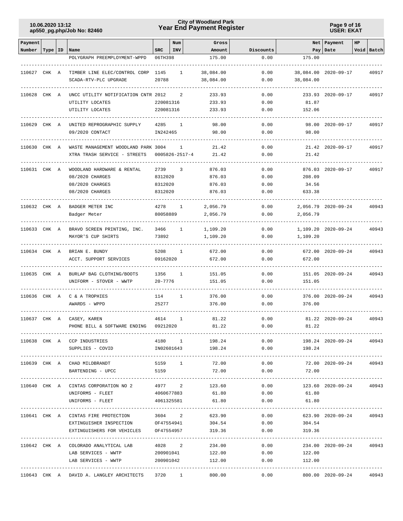## **Year End Payment Register City of Woodland Park 10.06.2020 13:12**

**Page 9 of 16 USER: EKAT**

| Payment      |           |                                                    |                    | Num                  | Gross             |                           |                 | Net   Payment           | HP |            |
|--------------|-----------|----------------------------------------------------|--------------------|----------------------|-------------------|---------------------------|-----------------|-------------------------|----|------------|
| Number       | Type   ID | Name                                               | <b>SRC</b>         | INV                  | Amount            | Discounts                 |                 | Pay   Date              |    | Void Batch |
|              |           | POLYGRAPH PREEMPLOYMENT-WPPD                       | 06TH398            |                      | 175.00            | 0.00                      | 175.00          |                         |    |            |
| 110627 CHK A |           | TIMBER LINE ELEC/CONTROL CORP                      | 1145               | 1                    | 38,084.00         | 0.00                      |                 | 38,084.00 2020-09-17    |    | 40917      |
|              |           | SCADA-RTV-PLC UPGRADE                              | 20788              |                      | 38,084.00         | 0.00                      | 38,084.00       |                         |    |            |
| 110628 CHK A |           | UNCC UTILITY NOTIFICATION CNTR 2012                |                    | 2                    | 233.93            | 0.00                      |                 | 233.93 2020-09-17       |    | 40917      |
|              |           | UTILITY LOCATES                                    | 220081316          |                      | 233.93            | 0.00                      | 81.87           |                         |    |            |
|              |           | UTILITY LOCATES                                    | 220081316          |                      | 233.93            | 0.00                      | 152.06          |                         |    |            |
| 110629 CHK A |           | UNITED REPROGRAPHIC SUPPLY                         | 4285               | $\mathbf{1}$         | 98.00             | 0.00                      |                 | 98.00 2020-09-17        |    | 40917      |
|              |           | 09/2020 CONTACT                                    | IN242465           |                      | 98.00             | 0.00                      | 98.00           |                         |    |            |
| 110630 CHK A |           | WASTE MANAGEMENT WOODLAND PARK 3004                |                    | 1                    | 21.42             | 0.00                      |                 | 21.42 2020-09-17        |    | 40917      |
|              |           | XTRA TRASH SERVICE - STREETS                       |                    | $0005826 - 2517 - 4$ | 21.42             | 0.00                      | 21.42           |                         |    |            |
|              |           |                                                    |                    |                      |                   |                           |                 |                         |    |            |
| 110631 CHK A |           | WOODLAND HARDWARE & RENTAL                         | 2739               | 3                    | 876.03            | 0.00                      |                 | 876.03 2020-09-17       |    | 40917      |
|              |           | 08/2020 CHARGES                                    | 8312020            |                      | 876.03            | 0.00                      | 208.09          |                         |    |            |
|              |           | 08/2020 CHARGES<br>08/2020 CHARGES                 | 8312020<br>8312020 |                      | 876.03<br>876.03  | 0.00<br>0.00              | 34.56<br>633.38 |                         |    |            |
|              |           |                                                    |                    |                      |                   |                           |                 |                         |    |            |
| 110632 CHK A |           | BADGER METER INC                                   | 4278               | 1                    | 2,056.79          | 0.00                      |                 | 2,056.79 2020-09-24     |    | 40943      |
|              |           | Badger Meter                                       | 80058889           |                      | 2,056.79          | 0.00                      | 2,056.79        |                         |    |            |
| 110633 CHK A |           | BRAVO SCREEN PRINTING, INC.                        | 3466               | $\mathbf{1}$         | 1,109.20          | 0.00                      |                 | 1,109.20 2020-09-24     |    | 40943      |
|              |           | MAYOR'S CUP SHIRTS                                 | 73892              |                      | 1,109.20          | 0.00                      | 1,109.20        |                         |    |            |
| 110634 CHK A |           | BRIAN E. BUNDY                                     | 5208               | $\mathbf{1}$         | 672.00            | 0.00                      |                 | 672.00 2020-09-24       |    | 40943      |
|              |           | ACCT. SUPPORT SERVICES                             | 09162020           |                      | 672.00            | 0.00                      | 672.00          |                         |    |            |
| 110635 CHK A |           | BURLAP BAG CLOTHING/BOOTS                          | 1356               | 1                    | 151.05            | 0.00                      |                 | 151.05 2020-09-24       |    | 40943      |
|              |           | UNIFORM - STOVER - WWTP                            | $20 - 7776$        |                      | 151.05            | 0.00                      | 151.05          |                         |    |            |
| 110636 CHK A |           | C & A TROPHIES                                     | 114                | 1                    | 376.00            | 0.00                      |                 | 376.00 2020-09-24       |    | 40943      |
|              |           | AWARDS - WPPD                                      | 25277              |                      | 376.00            | 0.00                      | 376.00          |                         |    |            |
| 110637 CHK A |           | CASEY, KAREN                                       | 4614               | 1                    | 81.22             | 0.00                      |                 | 81.22 2020-09-24        |    | 40943      |
|              |           | PHONE BILL & SOFTWARE ENDING                       | 09212020           |                      | 81.22             | 0.00                      | 81.22           |                         |    |            |
|              |           |                                                    |                    |                      |                   |                           |                 |                         |    |            |
|              |           | 110638 CHK A CCP INDUSTRIES                        |                    |                      | 4180 1 198.24     |                           | 0.00            | 198.24 2020-09-24       |    | 40943      |
|              |           | SUPPLIES - COVID                                   |                    |                      | IN02601643 198.24 |                           | 0.00<br>198.24  |                         |    |            |
|              |           | 110639 CHK A CHAD MILDBRANDT                       |                    | 5159 1               | 72.00             | 0.00                      |                 | 72.00 2020-09-24 40943  |    |            |
|              |           | BARTENDING - UPCC                                  | 5159               |                      | 72.00             | 0.00                      | 72.00           |                         |    |            |
|              |           | 110640 CHK A CINTAS CORPORATION NO 2 4977 2 123.60 |                    |                      |                   | 0.00                      |                 | 123.60 2020-09-24       |    | 40943      |
|              |           | UNIFORMS - FLEET                                   |                    |                      | 4060677883 61.80  | 0.00                      | 61.80           |                         |    |            |
|              |           | UNIFORMS - FLEET                                   |                    |                      | 4061325581 61.80  | 0.00                      | 61.80           |                         |    |            |
|              |           | 110641 CHK A CINTAS FIRE PROTECTION                |                    |                      | 3604 2 623.90     | 0.00                      | -------------   | 623.90 2020-09-24       |    | 40943      |
|              |           | EXTINGUISHER INSPECTION OF47554941 304.54          |                    |                      |                   | 0.00                      | 304.54          |                         |    |            |
|              |           | EXTINGUISHERS FOR VEHICLES OF47554957              |                    |                      | 319.36            | 0.00                      | 319.36          |                         |    |            |
|              |           | 110642 CHK A COLORADO ANALYTICAL LAB               |                    | 4028 2               | 234.00            | -----------------<br>0.00 |                 | 234.00 2020-09-24 40943 |    |            |
|              |           | LAB SERVICES - WWTP                                |                    | 200901041            | 122.00            | 0.00                      | 122.00          |                         |    |            |
|              |           | LAB SERVICES - WWTP                                | 200901042          |                      | 112.00            | 0.00                      | 112.00          |                         |    |            |
|              |           |                                                    |                    |                      |                   |                           |                 |                         |    |            |
|              |           | 110643 CHK A DAVID A. LANGLEY ARCHITECTS           |                    | 3720 1               | 800.00            |                           | 0.00            | 800.00 2020-09-24       |    | 40943      |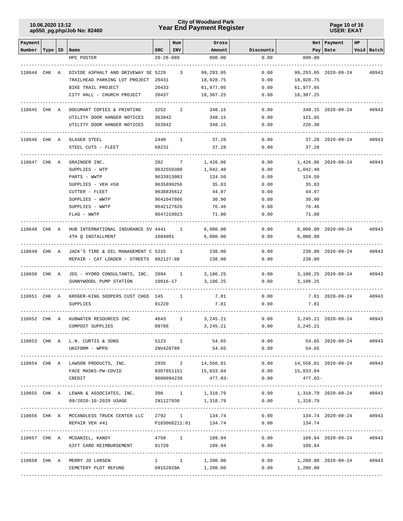## **Year End Payment Register City of Woodland Park 10.06.2020 13:12**

**Page 10 of 16 USER: EKAT**

| Payment            |  |                                                                                                            |                 | Num            | Gross                |                            |                                  | Net Payment             | HP |            |
|--------------------|--|------------------------------------------------------------------------------------------------------------|-----------------|----------------|----------------------|----------------------------|----------------------------------|-------------------------|----|------------|
| Number   Type   ID |  | Name                                                                                                       | SRC             | INV            | Amount               | Discounts                  |                                  | Pay Date                |    | Void Batch |
|                    |  | HPC POSTER                                                                                                 | $20 - 26 - 089$ |                | 800.00               | 0.00                       | 800.00                           |                         |    |            |
|                    |  |                                                                                                            |                 |                |                      |                            |                                  |                         |    |            |
|                    |  | 110644 CHK A DIVIDE ASPHALT AND DRIVEWAY SE 5229 3                                                         |                 |                | 99,293.05            | 0.00                       |                                  | 99,293.05 2020-09-24    |    | 40943      |
|                    |  | TRAILHEAD PARKING LOT PROJECT 20431                                                                        |                 |                | 18,928.75            | 0.00                       | 18,928.75                        |                         |    |            |
|                    |  | BIKE TRAIL PROJECT                                                                                         | 20433           |                | 61,977.05            | 0.00                       | 61,977.05                        |                         |    |            |
|                    |  | CITY HALL - CHURCH PROJECT                                                                                 | 20437           |                | 18,387.25            | 0.00                       | 18,387.25                        |                         |    |            |
|                    |  |                                                                                                            |                 |                |                      |                            |                                  |                         |    |            |
| 110645 CHK A       |  | DOCUMART COPIES & PRINTING                                                                                 | 3252            | $\overline{a}$ | 348.15               | 0.00                       |                                  | 348.15 2020-09-24       |    | 40943      |
|                    |  | UTILITY DOOR HANGER NOTICES 363942                                                                         |                 |                | 348.15               | 0.00                       | 121.85                           |                         |    |            |
|                    |  | UTILITY DOOR HANGER NOTICES                                                                                | 363942          |                | 348.15               | 0.00                       | 226.30                           |                         |    |            |
|                    |  |                                                                                                            |                 |                |                      |                            |                                  |                         |    |            |
|                    |  | 110646 CHK A GLASER STEEL                                                                                  | 2440            | $\mathbf{1}$   | 37.28                | 0.00                       |                                  | 37.28 2020-09-24        |    | 40943      |
|                    |  | STEEL CUTS - FLEET                                                                                         | 68231           |                | 37.28                | 0.00                       | 37.28                            |                         |    |            |
|                    |  |                                                                                                            |                 |                |                      |                            |                                  |                         |    |            |
| 110647 CHK A       |  | GRAINGER INC.                                                                                              | 282             | 7              | 1,426.06             | 0.00                       |                                  | 1,426.06 2020-09-24     |    | 40943      |
|                    |  | SUPPLIES - WTP                                                                                             |                 | 9632559390     | 1,042.40             | 0.00                       | 1,042.40                         |                         |    |            |
|                    |  | PARTS - WWTP                                                                                               |                 | 9633913083     | 124.50               | 0.00                       | 124.50                           |                         |    |            |
|                    |  | SUPPLIES - VEH #58                                                                                         |                 | 9635899256     | 35.83                | 0.00                       | 35.83                            |                         |    |            |
|                    |  | CUTTER - FLEET                                                                                             |                 | 9638835612     | 44.97                | 0.00                       | 44.97                            |                         |    |            |
|                    |  | SUPPLIES - WWTP                                                                                            |                 | 9641047866     | 30.90                | 0.00                       | 30.90                            |                         |    |            |
|                    |  | SUPPLIES - WWTP                                                                                            |                 | 9642127626     | 76.46                | 0.00                       | 76.46                            |                         |    |            |
|                    |  | FLAG - WWTP                                                                                                |                 | 9647219923     | 71.00                | 0.00                       | 71.00                            |                         |    |            |
|                    |  |                                                                                                            |                 |                |                      |                            |                                  |                         |    |            |
|                    |  | 110648 CHK A HUB INTERNATIONAL INSURANCE SV 4441 1                                                         |                 |                | 6,000.00             |                            | 0.00                             | 6,000.00 2020-09-24     |    | 40943      |
|                    |  | 4TH Q INSTALLMENT                                                                                          |                 | 1684091        | 6,000.00             | 0.00                       | 6,000.00                         |                         |    |            |
|                    |  | 110649 CHK A JACK'S TIRE & OIL MANAGEMENT C 5215 1                                                         |                 |                | 238.00               | 0.00                       |                                  | 238.00 2020-09-24       |    | 40943      |
|                    |  | REPAIR - CAT LOADER - STREETS 882127-88                                                                    |                 |                | 238.00               | 0.00                       | 238.00                           |                         |    |            |
|                    |  |                                                                                                            |                 |                |                      |                            |                                  |                         |    |            |
| 110650 CHK A       |  | JDS - HYDRO CONSULTANTS, INC. 2894 1                                                                       |                 |                | 3,106.25             | 0.00                       |                                  | 3,106.25 2020-09-24     |    | 40943      |
|                    |  | SUNNYWOODL PUMP STATION                                                                                    |                 | 10916-17       | 3,106.25             | 0.00                       | 3,106.25                         |                         |    |            |
|                    |  |                                                                                                            |                 |                |                      |                            |                                  |                         |    |            |
| 110651 CHK A       |  | KROGER-KING SOOPERS CUST CHGS 145 1                                                                        |                 |                | 7.81                 | 0.00                       |                                  | 7.81 2020-09-24         |    | 40943      |
|                    |  | SUPPLIES                                                                                                   | 91220           |                | 7.81                 | 0.00                       | 7.81                             |                         |    |            |
|                    |  |                                                                                                            |                 |                |                      |                            |                                  |                         |    |            |
| 110652 CHK A       |  | KUBWATER RESOURCES INC                                                                                     | 4643            | $\mathbf{1}$   | 3,245.21             | 0.00                       |                                  | 3,245.21 2020-09-24     |    | 40943      |
|                    |  | COMPOST SUPPLIES                                                                                           | 09786           |                | 3,245.21             | 0.00                       | 3,245.21                         |                         |    |            |
|                    |  |                                                                                                            |                 |                |                      |                            |                                  |                         |    |            |
|                    |  | 110653 CHK A L.N. CURTIS & SONS                                                                            |                 | 5123 1         | 54.65                | 0.00                       |                                  | 54.65 2020-09-24 40943  |    |            |
|                    |  | UNIFORM - WPPD                                                                                             | INV420789       |                | 54.65                | 0.00                       | 54.65                            |                         |    |            |
|                    |  |                                                                                                            |                 |                |                      |                            |                                  |                         |    |            |
|                    |  | 110654 CHK A LAWSON PRODUCTS, INC.                                                                         |                 |                | 2935 2 14,556.01     |                            | $0.00$ 14,556.01 2020-09-24      |                         |    | 40943      |
|                    |  | FACE MASKS-PW-COVID                                                                                        |                 |                | 9307851151 15,033.04 |                            | $0.00$ 15,033.04                 |                         |    |            |
|                    |  | CREDIT                                                                                                     |                 |                | 9600094239 477.03-   | 0.00<br>------------------ | $477.03-$                        |                         |    |            |
|                    |  |                                                                                                            |                 |                |                      | 0.00                       | 1,318.79  2020-09-24  40943      |                         |    |            |
|                    |  | 110655 CHK A LEWAN & ASSOCIATES, INC. 398 1 1,318.79<br>0.00 09/2020-10-2020 USAGE 1N1127930 1,318.79 0.00 |                 |                |                      |                            | 1,318.79                         |                         |    |            |
|                    |  |                                                                                                            |                 |                |                      |                            |                                  |                         |    |            |
|                    |  | 110656 CHK A MCCANDLESS TRUCK CENTER LLC 2792 1                                                            |                 |                | 134.74               | 0.00                       |                                  | 134.74 2020-09-24 40943 |    |            |
|                    |  | REPAIR VEH #41                                                                                             |                 |                | P103068211:01 134.74 | 0.00                       | 134.74                           |                         |    |            |
|                    |  |                                                                                                            |                 |                |                      |                            |                                  |                         |    |            |
|                    |  | 110657 CHK A MCDANIEL, KANDY                                                                               |                 | 4750 1         | 109.94               |                            | 0.00                             | 109.94 2020-09-24 40943 |    |            |
|                    |  | GIFT CARD REIMBURSEMENT 91720 109.94                                                                       |                 |                |                      |                            | $0.00$ 109.94                    |                         |    |            |
|                    |  |                                                                                                            |                 |                |                      |                            |                                  |                         |    |            |
|                    |  | 110658 CHK A MERRY JO LARSEN                                                                               |                 |                | $1 \t 1 \t 1,200.00$ |                            | $0.00$ 1,200.00 2020-09-24 40943 |                         |    |            |
|                    |  | CEMETERY PLOT REFUND                                                                                       |                 |                | 09152020A 1,200.00   | 0.00                       | 1,200.00                         |                         |    |            |
|                    |  |                                                                                                            |                 |                |                      |                            |                                  |                         |    |            |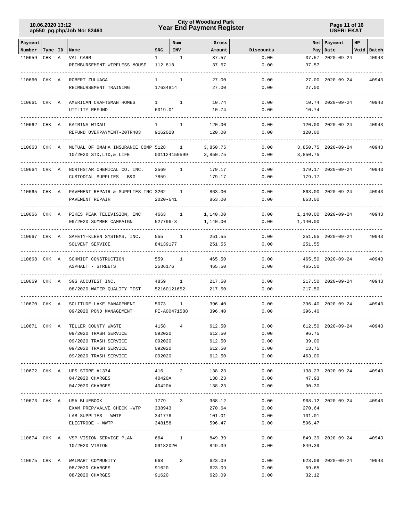## **Year End Payment Register City of Woodland Park 10.06.2020 13:12**

**Page 11 of 16 USER: EKAT**

| Payment      |           |              |                                                         |                  | Num          | Gross            |                                   |                     | Net Payment             | $_{\rm HP}$ |            |
|--------------|-----------|--------------|---------------------------------------------------------|------------------|--------------|------------------|-----------------------------------|---------------------|-------------------------|-------------|------------|
| Number       | Type   ID |              | Name                                                    | <b>SRC</b>       | <b>INV</b>   | Amount           | Discounts                         |                     | Pay   Date              |             | Void Batch |
| 110659       | CHK       | $\mathbb{A}$ | VAL CARR                                                | $\mathbf{1}$     | $\mathbf{1}$ | 37.57            | 0.00                              |                     | 37.57 2020-09-24        |             | 40943      |
|              |           |              | REIMBURSEMENT-WIRELESS MOUSE                            | 112-818          |              | 37.57            | 0.00                              | 37.57               |                         |             |            |
| 110660 CHK A |           |              | ROBERT ZULUAGA                                          | Т.               | 1            | 27.00            | 0.00                              |                     | 27.00 2020-09-24        |             | 40943      |
|              |           |              | REIMBURSEMENT TRAINING                                  | 17634814         |              | 27.00            | 0.00                              | 27.00               |                         |             |            |
|              |           |              |                                                         |                  |              |                  |                                   |                     |                         |             |            |
| 110661 CHK A |           |              | AMERICAN CRAFTSMAN HOMES                                | $\mathbf{1}$     | 1            | 10.74            | 0.00                              |                     | 10.74 2020-09-24        |             | 40943      |
|              |           |              | UTILITY REFUND                                          | 6019.01          |              | 10.74            | 0.00                              | 10.74               |                         |             |            |
| 110662 CHK A |           |              | KATRINA WIDAU                                           | $\mathbf{1}$     | 1            | 120.00           | 0.00                              |                     | 120.00 2020-09-24       |             | 40943      |
|              |           |              | REFUND OVERPAYMENT-20TR403                              | 9162020          |              | 120.00           | 0.00                              | 120.00              |                         |             |            |
|              |           |              |                                                         |                  |              |                  |                                   |                     |                         |             |            |
| 110663 CHK A |           |              | MUTUAL OF OMAHA INSURANCE COMP 5128                     |                  | 1            | 3,850.75         | 0.00                              |                     | 3,850.75 2020-09-24     |             | 40943      |
|              |           |              | $10/2020$ STD, LTD, & LIFE                              | 001124150599     |              | 3,850.75         | 0.00                              | 3,850.75            |                         |             |            |
|              |           |              |                                                         |                  |              |                  |                                   |                     |                         |             |            |
| 110664 CHK A |           |              | NORTHSTAR CHEMICAL CO. INC.<br>CUSTODIAL SUPPLIES - B&G | 2569<br>7859     | 1            | 179.17<br>179.17 | 0.00<br>0.00                      | 179.17              | 179.17 2020-09-24       |             | 40943      |
|              |           |              |                                                         |                  |              |                  |                                   |                     |                         |             |            |
| 110665 CHK A |           |              | PAVEMENT REPAIR & SUPPLIES INC 3202                     |                  | 1            | 863.00           | 0.00                              |                     | 863.00 2020-09-24       |             | 40943      |
|              |           |              | PAVEMENT REPAIR                                         | 2020-641         |              | 863.00           | 0.00                              | 863.00              |                         |             |            |
|              |           |              |                                                         |                  |              |                  |                                   |                     |                         |             |            |
| 110666 CHK A |           |              | PIKES PEAK TELEVISION, INC                              | 4663             | 1            | 1,140.00         | 0.00                              |                     | 1,140.00 2020-09-24     |             | 40943      |
|              |           |              | 09/2020 SUMMER CAMPAIGN                                 | 527796-3         |              | 1,140.00         | 0.00                              | 1,140.00            |                         |             |            |
| 110667 CHK A |           |              | SAFETY-KLEEN SYSTEMS, INC.                              | 555              | 1            | 251.55           | 0.00                              |                     | 251.55 2020-09-24       |             | 40943      |
|              |           |              | SOLVENT SERVICE                                         | 84139177         |              | 251.55           | 0.00                              | 251.55              |                         |             |            |
|              |           |              |                                                         |                  |              |                  |                                   |                     |                         |             |            |
| 110668 CHK A |           |              | SCHMIDT CONSTRUCTION                                    | 559              | $\mathbf{1}$ | 465.50           | 0.00                              |                     | 465.50 2020-09-24       |             | 40943      |
|              |           |              | ASPHALT - STREETS                                       | 2536176          |              | 465.50           | 0.00                              | 465.50              |                         |             |            |
| 110669 CHK A |           |              | SGS ACCUTEST INC.                                       | 4859             | 1            | 217.50           | 0.00                              |                     | 217.50 2020-09-24       |             | 40943      |
|              |           |              | 08/2020 WATER QUALITY TEST                              | 52160121652      |              | 217.50           | 0.00                              | 217.50              |                         |             |            |
|              |           |              |                                                         |                  |              |                  |                                   |                     |                         |             |            |
| 110670       | CHK A     |              | SOLITUDE LAKE MANAGEMENT                                | 5073             | 1            | 396.40           | 0.00                              |                     | 396.40 2020-09-24       |             | 40943      |
|              |           |              | 09/2020 POND MANAGEMENT                                 | PI-A00471588     |              | 396.40           | 0.00                              | 396.40              |                         |             |            |
| 110671 CHK A |           |              | TELLER COUNTY WASTE                                     | 4158             | 4            | 612.50           | 0.00                              |                     | 612.50 2020-09-24       |             | 40943      |
|              |           |              | 09/2020 TRASH SERVICE                                   | 092020           |              | 612.50           | 0.00                              | 96.75               |                         |             |            |
|              |           |              | 09/2020 TRASH SERVICE                                   | 092020           |              | 612.50           | 0.00                              | 39.00               |                         |             |            |
|              |           |              | 09/2020 TRASH SERVICE 092020                            |                  |              | 612.50           | 0.00                              | 13.75               |                         |             |            |
|              |           |              | 09/2020 TRASH SERVICE                                   | 092020           |              | 612.50           | 0.00                              | 463.00              |                         |             |            |
|              |           |              |                                                         |                  |              |                  |                                   |                     |                         |             |            |
|              |           |              | 110672 CHK A UPS STORE #1374                            | 416 2            |              | 138.23           | 0.00                              |                     | 138.23 2020-09-24 40943 |             |            |
|              |           |              | 04/2020 CHARGES<br>04/2020 CHARGES                      | 40420A<br>40420A |              | 138.23<br>138.23 | 0.00<br>0.00                      | 47.93<br>90.30      |                         |             |            |
|              |           |              |                                                         |                  |              |                  |                                   |                     |                         |             |            |
|              |           |              | 110673 CHK A USA BLUEBOOK                               |                  |              | 1779 3<br>968.12 |                                   | 0.00                | 968.12 2020-09-24 40943 |             |            |
|              |           |              | EXAM PREP/VALVE CHECK -WTP 338943 270.64                |                  |              |                  |                                   | 0.00<br>270.64      |                         |             |            |
|              |           |              | LAB SUPPLIES - WWTP 341776                              |                  |              | 101.01           | 0.00                              | 101.01              |                         |             |            |
|              |           |              | ELECTRODE - WWTP                                        | 348158           |              | 596.47           | 0.00                              | 596.47              |                         |             |            |
|              |           |              | 110674 CHK A VSP-VISION SERVICE PLAN                    | 664 1            |              | 849.39           | 0.00                              | ------------------- | 849.39 2020-09-24 40943 |             |            |
|              |           |              | 10/2020 VISION                                          | 09182020         |              | 849.39           | 0.00                              | 849.39              |                         |             |            |
|              |           |              |                                                         |                  |              |                  | --------------------------------- |                     |                         |             |            |
|              |           |              | 110675 CHK A WALMART COMMUNITY                          |                  |              | 668 3 623.09     |                                   | 0.00                | 623.09 2020-09-24 40943 |             |            |
|              |           |              | 08/2020 CHARGES                                         | 91620            |              | 623.09           | 0.00                              | 59.65               |                         |             |            |
|              |           |              | 08/2020 CHARGES                                         | 91620            |              | 623.09           | 0.00                              | 32.12               |                         |             |            |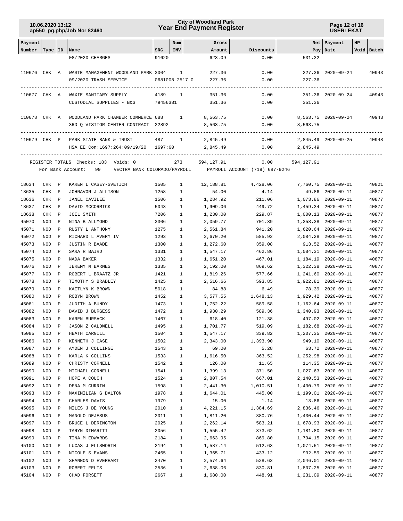## **Year End Payment Register City of Woodland Park 10.06.2020 13:12**

**Page 12 of 16 USER: EKAT**

| Payment                   |            |                              |                                                  |              | Num            | Gross                |                                                             |            | Net   Payment                              | HP |                |
|---------------------------|------------|------------------------------|--------------------------------------------------|--------------|----------------|----------------------|-------------------------------------------------------------|------------|--------------------------------------------|----|----------------|
| Number   Type   ID   Name |            |                              |                                                  | <b>SRC</b>   | INV            | Amount               | Discounts                                                   |            | Pay   Date                                 |    | Void Batch     |
|                           |            |                              | 08/2020 CHARGES                                  | 91620        |                | 623.09               | 0.00                                                        | 531.32     |                                            |    |                |
|                           |            |                              |                                                  |              |                |                      |                                                             |            |                                            |    |                |
|                           |            |                              | 110676 CHK A WASTE MANAGEMENT WOODLAND PARK 3004 |              |                | 1 227.36             | 0.00                                                        |            | 227.36 2020-09-24                          |    | 40943          |
|                           |            |                              | 09/2020 TRASH SERVICE                            |              | 0681008-2517-0 | 227.36               | 0.00                                                        | 227.36     |                                            |    |                |
|                           |            |                              |                                                  |              |                |                      |                                                             |            |                                            |    |                |
|                           |            |                              | 110677 CHK A WAXIE SANITARY SUPPLY               | 4189 1       |                | 351.36               | 0.00                                                        |            | 351.36 2020-09-24                          |    | 40943          |
|                           |            |                              | CUSTODIAL SUPPLIES - B&G                         | 79456381     |                | 351.36               | 0.00                                                        | 351.36     |                                            |    |                |
|                           |            |                              |                                                  |              |                |                      |                                                             |            |                                            |    |                |
| 110678 CHK A              |            |                              | WOODLAND PARK CHAMBER COMMERCE 688 1             |              |                | 8,563.75             | 0.00                                                        |            | 8,563.75 2020-09-24                        |    | 40943          |
|                           |            |                              | 3RD Q VISITOR CENTER CONTRACT 22892              |              |                | 8,563.75             | 0.00                                                        | 8,563.75   |                                            |    |                |
|                           |            |                              |                                                  |              |                |                      |                                                             |            |                                            |    |                |
| 110679 CHK P              |            |                              | PARK STATE BANK & TRUST                          |              | 487 1          | 2,845.49             | 0.00                                                        |            | 2,845.49 2020-09-25                        |    | 40948          |
|                           |            |                              | HSA EE Con:1697:264:09/19/20 1697:60             |              |                | 2,845.49             | 0.00                                                        | 2,845.49   |                                            |    |                |
|                           |            |                              |                                                  |              |                |                      |                                                             |            |                                            |    |                |
|                           |            |                              | REGISTER TOTALS Checks: 183 Voids: 0             |              | 273            | 594,127.91           | 0.00                                                        | 594,127.91 |                                            |    |                |
|                           |            |                              | For Bank Account: 99                             |              |                |                      | VECTRA BANK COLORADO/PAYROLL PAYROLL ACCOUNT (719) 687-9246 |            |                                            |    |                |
|                           |            |                              |                                                  |              |                |                      |                                                             |            |                                            |    |                |
| 18634                     | CHK P      |                              | KAREN L CASEY-SVETICH                            | 1505         | $\mathbf{1}$   | 12,188.81            | 4,428.06                                                    |            | 7,760.75 2020-09-01                        |    | 40821          |
| 18635                     | CHK        | $\mathbb{P}$                 | JOHNAVON J ALLISON                               | 1258         | $\mathbf{1}$   | 54.00                | 4.14                                                        |            | 49.86 2020-09-11                           |    | 40877          |
| 18636                     | CHK        | $\mathbb{P}$                 | <b>JANEL CAVILEE</b>                             | 1506         | $\mathbf{1}$   | 1,284.92             | 211.06                                                      |            | 1,073.86 2020-09-11                        |    | 40877          |
| 18637                     | CHK        | $\mathbb{P}$                 | DAVID MCCORMICK                                  | 5043         | 1              | 1,909.06             | 449.72                                                      |            | 1,459.34 2020-09-11                        |    | 40877          |
| 18638                     | CHK        | $\mathbb{P}$                 | JOEL SMITH                                       | 7206         | 1              | 1,230.00             | 229.87                                                      |            | 1,000.13 2020-09-11                        |    | 40877          |
| 45070                     | NOD        | $\mathbb{P}$                 | NINA B ALLMOND                                   | 3306         | 1              | 2,059.77             | 701.39                                                      |            | 1,358.38 2020-09-11                        |    | 40877          |
| 45071                     | NOD        | $\mathbf P$                  | RUSTY L ANTHONY                                  | 1275         | 1              | 2,561.84             | 941.20                                                      |            | 1,620.64 2020-09-11                        |    | 40877          |
| 45072                     | NOD        | $\mathbf P$                  | RICHARD L AVERY IV                               | 1293         | 1              | 2,670.20             | 585.92                                                      |            | 2,084.28 2020-09-11                        |    | 40877          |
| 45073                     | NOD        | $\mathbb{P}$                 | <b>JUSTIN R BAADE</b>                            | 1300         | 1              | 1,272.60             | 359.08                                                      |            | 913.52 2020-09-11                          |    | 40877          |
| 45074<br>45075            | NOD        | $\mathbb{P}$<br>$\mathbb{P}$ | SARA R BAIRD                                     | 1331         | 1              | 1,547.17             | 462.86                                                      |            | 1,084.31 2020-09-11                        |    | 40877<br>40877 |
| 45076                     | NOD        |                              | NADA BAKER                                       | 1332         | 1              | 1,651.20             | 467.01                                                      |            | 1,184.19 2020-09-11<br>1,322.38 2020-09-11 |    | 40877          |
| 45077                     | NOD<br>NOD | $\mathbf P$<br>$\mathbb{P}$  | JEREMY M BARNES<br>ROBERT L BRAATZ JR            | 1335<br>1421 | 1<br>1         | 2,192.00<br>1,819.26 | 869.62<br>577.66                                            |            | 1,241.60 2020-09-11                        |    | 40877          |
| 45078                     | NOD        | $\mathbf P$                  | TIMOTHY S BRADLEY                                | 1425         | 1              | 2,516.66             | 593.85                                                      |            | 1,922.81 2020-09-11                        |    | 40877          |
| 45079                     | NOD        | $\mathbb{P}$                 | KAITLYN K BROWN                                  | 5018         | 1              | 84.88                | 6.49                                                        |            | 78.39 2020-09-11                           |    | 40877          |
| 45080                     | NOD        | $\mathbf P$                  | ROBYN BROWN                                      | 1452         | $\mathbf{1}$   | 3,577.55             | 1,648.13                                                    |            | 1,929.42 2020-09-11                        |    | 40877          |
| 45081                     | NOD        | $\mathbb{P}$                 | JUDITH A BUNDY                                   | 1473         | $\mathbf{1}$   | 1,752.22             | 589.58                                                      |            | 1,162.64 2020-09-11                        |    | 40877          |
| 45082                     | NOD        | $\mathbb{P}$                 | DAVID J BURGESS                                  | 1472         | 1              | 1,930.29             | 589.36                                                      |            | 1,340.93 2020-09-11                        |    | 40877          |
| 45083                     | NOD        | $\mathbf P$                  | KAREN BURSACK                                    | 1467         | $\mathbf{1}$   | 618.40               | 121.38                                                      |            | 497.02 2020-09-11                          |    | 40877          |
| 45084                     | NOD        | $\mathbb{P}$                 | <b>JASON Z CALDWELL</b>                          | 1495         | $\mathbf{1}$   | 1,701.77             | 519.09                                                      |            | 1,182.68 2020-09-11                        |    | 40877          |
| 45085                     | NOD        | $\mathbf P$                  | HEATH CARGILL                                    | 1504         | 1              | 1,547.17             | 339.82                                                      | 1,207.35   | $2020 - 09 - 11$                           |    | 40877          |
| 45086                     | NOD        | $\, {\bf P}$                 | KENNETH J CASE                                   | 1502         | 1              | 2,343.00             | 1,393.90                                                    |            | 949.10 2020-09-11                          |    | 40877          |
| 45087                     | NOD        | $\, {\bf P}$                 | AYDEN J COLLINGE                                 | 1543         | $\mathbf{1}$   | 69.00                | 5.28                                                        |            | 63.72 2020-09-11                           |    | 40877          |
| 45088                     | NOD        | $\mathbb P$                  | KARLA K COLLINS                                  | 1533         | $\mathbf{1}$   | 1,616.50             | 363.52                                                      |            | 1,252.98 2020-09-11                        |    | 40877          |
| 45089                     | NOD        | $\mathbb P$                  | CHRISTY CORNELL                                  | 1542         | $\mathbf{1}$   | 126.00               | 11.65                                                       |            | 114.35 2020-09-11                          |    | 40877          |
| 45090                     | NOD        | $\, {\bf P}$                 | MICHAEL CORNELL                                  | 1541         | $\mathbf{1}$   | 1,399.13             | 371.50                                                      |            | 1,027.63 2020-09-11                        |    | 40877          |
| 45091                     | NOD        | $\mathbb P$                  | HOPE A COUCH                                     | 1524         | $\mathbf{1}$   | 2,807.54             | 667.01                                                      |            | 2,140.53 2020-09-11                        |    | 40877          |
| 45092                     | NOD        | $\, {\bf P}$                 | DENA M CURRIN                                    | 1598         | $\mathbf{1}$   | 2,441.30             | 1,010.51                                                    |            | 1,430.79 2020-09-11                        |    | 40877          |
| 45093                     | NOD        | $\mathbf{P}$                 | MAXIMILIAN G DALTON                              | 1978         | $\mathbf{1}$   | 1,644.01             | 445.00                                                      |            | 1,199.01 2020-09-11                        |    | 40877          |
| 45094                     | NOD        | $\, {\bf P}$                 | CHARLES DAVIS                                    | 1979         | 1              | 15.00                | 1.14                                                        |            | 13.86 2020-09-11                           |    | 40877          |
| 45095                     | NOD        | $\mathbb P$                  | MILES J DE YOUNG                                 | 2010         | $\mathbf{1}$   | 4,221.15             | 1,384.69                                                    |            | 2,836.46 2020-09-11                        |    | 40877          |
| 45096                     | NOD        | $\mathbb P$                  | MANOLO DEJESUS                                   | 2011         | $\mathbf{1}$   | 1,811.20             | 380.76                                                      |            | 1,430.44 2020-09-11                        |    | 40877          |
| 45097                     | NOD        | $\mathbb P$                  | BRUCE L DERINGTON                                | 2025         | $\mathbf{1}$   | 2,262.14             | 583.21                                                      |            | 1,678.93 2020-09-11                        |    | 40877          |
| 45098                     | NOD        | $\mathbb P$                  | TARYN DIMARITI                                   | 2056         | $\mathbf{1}$   | 1,555.42             | 373.62                                                      |            | 1,181.80 2020-09-11                        |    | 40877          |
| 45099                     | NOD        | $\, {\bf P}$                 | TINA M EDWARDS                                   | 2184         | $\mathbf{1}$   | 2,663.95             | 869.80                                                      |            | 1,794.15 2020-09-11                        |    | 40877          |
| 45100                     | NOD        | $\, {\bf P}$                 | LUCAS J ELLSWORTH                                | 2194         | $\mathbf{1}$   | 1,587.14             | 512.63                                                      |            | 1,074.51 2020-09-11                        |    | 40877          |
| 45101                     | NOD        | $\, {\bf P}$                 | NICOLE S EVANS                                   | 2465         | $\mathbf{1}$   | 1,365.71             | 433.12                                                      |            | 932.59 2020-09-11                          |    | 40877          |
| 45102                     | NOD        | $\, {\bf P}$                 | SHANNON D EVERHART                               | 2470         | $\mathbf{1}$   | 2,574.64             | 528.63                                                      |            | 2,046.01 2020-09-11                        |    | 40877          |
| 45103                     | NOD        | $\mathbf P$                  | ROBERT FELTS                                     | 2536         | $\mathbf{1}$   | 2,638.06             | 830.81                                                      |            | 1,807.25 2020-09-11                        |    | 40877          |
| 45104                     | $\rm NOD$  | $\, {\bf P}$                 | CHAD FORSETT                                     | 2667         | $\mathbf{1}$   | 1,680.00             | 448.91                                                      |            | 1,231.09 2020-09-11                        |    | 40877          |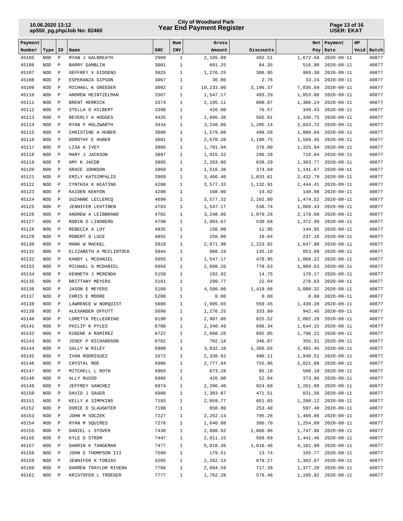## **Year End Payment Register City of Woodland Park 10.06.2020 13:12**

#### **Page 13 of 16 USER: EKAT**

| Payment        |                          |                              |                                        |              | Num                          | Gross                |                    | Net                  | Payment                              | HP |                |
|----------------|--------------------------|------------------------------|----------------------------------------|--------------|------------------------------|----------------------|--------------------|----------------------|--------------------------------------|----|----------------|
| Number         | Type                     | ID                           | Name                                   | <b>SRC</b>   | INV                          | Amount               | Discounts          | Pay                  | Date                                 |    | Void Batch     |
| 45105          | <b>NOD</b>               | $\, {\bf P}$                 | RYAN J GALBREATH                       | 2989         | $\mathbf{1}$                 | 2,165.09             | 492.51             | 1,672.58             | $2020 - 09 - 11$                     |    | 40877          |
| 45106          | <b>NOD</b>               | $\, {\bf P}$                 | BARRY GAMBLIN                          | 3001         | $\mathbf{1}$                 | 601.25               | 84.35              | 516.90               | $2020 - 09 - 11$                     |    | 40877          |
| 45107          | <b>NOD</b>               | $\, {\bf P}$                 | GEFFREY V GIDDENS                      | 3025         | $\mathbf{1}$                 | 1,276.25             | 306.95             | 969.30               | $2020 - 09 - 11$                     |    | 40877          |
| 45108          | <b>NOD</b>               | $\, {\bf P}$                 | ESPERANZA GIPSON                       | 3067         | $\mathbf{1}$                 | 36.00                | 2.76               | 33.24                | $2020 - 09 - 11$                     |    | 40877          |
| 45109          | <b>NOD</b>               | $\, {\bf P}$                 | MICHAEL K GREEDER                      | 3092         | $\mathbf{1}$                 | 10,233.06            | 3,196.37           | 7,036.69             | $2020 - 09 - 11$                     |    | 40877          |
| 45110          | <b>NOD</b>               | $\, {\bf P}$                 | ANDREW HEINTZELMAN                     | 3367         | $\mathbf{1}$                 | 1,547.17             | 493.29             | 1,053.88             | $2020 - 09 - 11$                     |    | 40877          |
| 45111          | <b>NOD</b>               | $\, {\bf P}$                 | BRENT HERRICK                          | 3374         | $\mathbf{1}$                 | 2,195.11             | 808.87             | 1,386.24             | $2020 - 09 - 11$                     |    | 40877          |
| 45112          | <b>NOD</b>               | $\, {\bf P}$                 | STELLA D HILBERT                       | 3398         | $\mathbf{1}$                 | 426.00               | 76.57              | 349.43               | $2020 - 09 - 11$                     |    | 40877          |
| 45113<br>45114 | <b>NOD</b>               | $\, {\bf P}$                 | BEVERLY A HODGES<br>RYAN P HOLZWARTH   | 4425<br>3434 | $\mathbf{1}$<br>$\mathbf{1}$ | 1,896.36             | 565.61             | 1,330.75             | $2020 - 09 - 11$                     |    | 40877<br>40877 |
| 45115          | <b>NOD</b><br><b>NOD</b> | $\, {\bf P}$<br>$\, {\bf P}$ | CHRISTINE A HUBER                      | 3600         | $\mathbf{1}$                 | 3,248.86<br>1,579.60 | 1,205.14<br>499.56 | 2,043.72<br>1,080.04 | $2020 - 09 - 11$<br>$2020 - 09 - 11$ |    | 40877          |
| 45116          | <b>NOD</b>               | $\, {\bf P}$                 | DOROTHY E HUBER                        | 3601         | $\mathbf{1}$                 | 2,670.20             | 1,100.75           | 1,569.45             | $2020 - 09 - 11$                     |    | 40877          |
| 45117          | <b>NOD</b>               | $\, {\bf P}$                 | LISA A IVEY                            | 3805         | $\mathbf{1}$                 | 1,701.94             | 376.00             | 1,325.94             | $2020 - 09 - 11$                     |    | 40877          |
| 45118          | <b>NOD</b>               | $\, {\bf P}$                 | MARY J JACKSON                         | 3897         | $\mathbf{1}$                 | 1,015.32             | 296.28             | 719.04               | $2020 - 09 - 11$                     |    | 40877          |
| 45119          | <b>NOD</b>               | $\, {\bf P}$                 | AMY K JACOB                            | 3885         | $\mathbf{1}$                 | 2,203.06             | 839.29             | 1,363.77             | $2020 - 09 - 11$                     |    | 40877          |
| 45120          | <b>NOD</b>               | $\, {\bf P}$                 | GRACE JOHNSON                          | 3969         | $\mathbf{1}$                 | 1,516.36             | 374.69             | 1,141.67             | $2020 - 09 - 11$                     |    | 40877          |
| 45121          | <b>NOD</b>               | $\mathbf P$                  | EMILY KATSIMPALIS                      | 3989         | $\mathbf{1}$                 | 3,466.40             | 1,033.61           | 2,432.79             | $2020 - 09 - 11$                     |    | 40877          |
| 45122          | <b>NOD</b>               | $\mathbf{P}$                 | CYNTHIA K KEATING                      | 4200         | $\mathbf{1}$                 | 3,577.32             | 1,132.91           | 2,444.41             | $2020 - 09 - 11$                     |    | 40877          |
| 45123          | <b>NOD</b>               | $\, {\bf P}$                 | KAIDEN KENYON                          | 4208         | $\mathbf{1}$                 | 168.00               | 19.02              | 148.98               | $2020 - 09 - 11$                     |    | 40877          |
| 45124          | <b>NOD</b>               | $\, {\bf P}$                 | SUZANNE LECLERCQ                       | 4699         | $\mathbf{1}$                 | 3,577.32             | 2,102.80           | 1,474.52             | $2020 - 09 - 11$                     |    | 40877          |
| 45125          | <b>NOD</b>               | $\, {\bf P}$                 | JENNIFER LEHTINEN                      | 4703         | $\mathbf{1}$                 | 1,547.17             | 538.74             | 1,008.43             | $2020 - 09 - 11$                     |    | 40877          |
| 45126          | <b>NOD</b>               | $\, {\bf P}$                 | ANDREW A LEIBBRAND                     | 4702         | $\mathbf{1}$                 | 3,248.86             | 1,070.26           | 2,178.60             | $2020 - 09 - 11$                     |    | 40877          |
| 45127          | <b>NOD</b>               | $\, {\bf P}$                 | ROBIN D LINDBERG                       | 4790         | $\mathbf{1}$                 | 1,903.67             | 530.68             | 1,372.99             | $2020 - 09 - 11$                     |    | 40877          |
| 45128          | <b>NOD</b>               | $\, {\bf P}$                 | REBECCA A LOY                          | 4835         | $\mathbf{1}$                 | 156.00               | 11.95              | 144.05               | $2020 - 09 - 11$                     |    | 40877          |
| 45129          | <b>NOD</b>               | $\mathbf{P}$                 | ROBERT G LUCE                          | 4855         | $\mathbf{1}$                 | 256.80               | 19.64              | 237.16               | $2020 - 09 - 11$                     |    | 40877          |
| 45130          | <b>NOD</b>               | $\, {\bf P}$                 | MARK W MACKEL                          | 5010         | $\mathbf{1}$                 | 2,871.90             | 1,223.92           | 1,647.98             | $2020 - 09 - 11$                     |    | 40877          |
| 45131          | <b>NOD</b>               | $\, {\bf P}$                 | ELIZABETH A MCCLINTOCK                 | 5044         | $\mathbf{1}$                 | 988.19               | 135.10             | 853.09               | $2020 - 09 - 11$                     |    | 40877          |
| 45132          | <b>NOD</b>               | $\, {\bf P}$                 | KANDY L MCDANIEL                       | 5055         | $\mathbf{1}$                 | 1,547.17             | 478.95             | 1,068.22             | $2020 - 09 - 11$                     |    | 40877          |
| 45133          | <b>NOD</b>               | $\, {\bf P}$                 | MICHAEL G MCDANIEL                     | 5056         | $\mathbf{1}$                 | 2,688.26             | 778.63             | 1,909.63             | $2020 - 09 - 11$                     |    | 40877          |
| 45134          | <b>NOD</b>               | $\, {\bf P}$                 | KENNETH J MERENDA                      | 5158         | $\mathbf{1}$                 | 192.92               | 14.75              | 178.17               | $2020 - 09 - 11$                     |    | 40877          |
| 45135          | <b>NOD</b>               | $\, {\bf P}$                 | BRITTANY MEYERS                        | 5161         | $\mathbf{1}$                 | 299.77               | 22.94              | 276.83               | $2020 - 09 - 11$                     |    | 40877          |
| 45136          | <b>NOD</b><br><b>NOD</b> | $\mathbf{P}$<br>$\, {\bf P}$ | <b>JASON E MEYERS</b><br>CHRIS E MOORE | 5160<br>5200 | $\mathbf{1}$<br>$\mathbf{1}$ | 4,500.00             | 1,419.68           | 3,080.32<br>0.00     | $2020 - 09 - 11$<br>$2020 - 09 - 11$ |    | 40877<br>40877 |
| 45137<br>45138 | <b>NOD</b>               | $\, {\bf P}$                 | LAWRENCE W NOROUIST                    | 5606         | $\mathbf{1}$                 | 0.00<br>1,995.65     | 0.00<br>559.45     | 1,436.20             | $2020 - 09 - 11$                     |    | 40877          |
| 45139          | <b>NOD</b>               | $\, {\bf P}$                 | ALEXANDER OFFUTT                       | 5690         | $\mathbf{1}$                 | 1,276.25             | 333.80             | 942.45               | $2020 - 09 - 11$                     |    | 40877          |
| 45140          | <b>NOD</b>               | $\, {\bf P}$                 | LORETTA PELLEGRINO                     | 6190         | $\mathbf{1}$                 | 2,907.80             | 825.52             | 2,082.28             | $2020 - 09 - 11$                     |    | 40877          |
| 45141          | <b>NOD</b>               | $\, {\bf P}$                 | PHILIP K PYLES                         | 6700         | $\mathbf{1}$                 | 2,340.49             | 696.34             | 1,644.15             | 2020-09-11                           |    | 40877          |
| 45142          | $\rm NOD$                | $\, {\bf P}$                 | EUGENE A RAMIREZ                       | 6722         | $\mathbf 1$                  | 2,688.26             | 892.05             | 1,796.21             | 2020-09-11                           |    | 40877          |
| 45143          | NOD                      | $\, {\bf P}$                 | JOSEF P RICHARDSON                     | 6782         | 1                            | 702.18               | 346.87             |                      | 355.31 2020-09-11                    |    | 40877          |
| 45144          | $\rm NOD$                | $\, {\bf P}$                 | SALLY W RILEY                          | 6800         | $\mathbf{1}$                 | 3,832.10             | 1,366.65           |                      | 2,465.45 2020-09-11                  |    | 40877          |
| 45145          | $\rm NOD$                | $\mathbb{P}$                 | IVAN RODRIGUEZ                         | 3372         | $\mathbf{1}$                 | 2,338.62             | 490.11             |                      | 1,848.51 2020-09-11                  |    | 40877          |
| 45146          | NOD                      | $\, {\bf P}$                 | CRYSTAL ROE                            | 6906         | $\mathbf{1}$                 | 2,777.84             | 755.96             |                      | 2,021.88 2020-09-11                  |    | 40877          |
| 45147          | NOD                      | $\, {\bf P}$                 | MITCHELL L ROTH                        | 6903         | $\mathbf{1}$                 | 673.28               | 85.18              | 588.10               | $2020 - 09 - 11$                     |    | 40877          |
| 45148          | NOD                      | $\, {\bf P}$                 | ALLY RUSSO                             | 6966         | $\mathbf{1}$                 | 426.00               | 52.04              |                      | 373.96 2020-09-11                    |    | 40877          |
| 45149          | NOD                      | $\mathbb{P}$                 | JEFFREY SANCHEZ                        | 6974         | $\mathbf{1}$                 | 2,206.40             | 924.60             |                      | 1,281.80 2020-09-11                  |    | 40877          |
| 45150          | NOD                      | $\mathbb{P}$                 | DAVID J SAUER                          | 6988         | $\mathbf{1}$                 | 1,303.07             | 471.51             |                      | 831.56 2020-09-11                    |    | 40877          |
| 45151          | NOD                      | $\, {\bf P}$                 | KELLY A SIMPKINS                       | 7193         | $\mathbf{1}$                 | 2,059.77             | 851.65             |                      | 1,208.12 2020-09-11                  |    | 40877          |
| 45152          | NOD                      | $\, {\bf P}$                 | DORIE D SLAUGHTER                      | 7198         | $\mathbf{1}$                 | 850.80               | 253.40             |                      | 597.40 2020-09-11                    |    | 40877          |
| 45153          | $\rm NOD$                | $\,$ P                       | JOHN M SOCZEK                          | 7227         | $\mathbf{1}$                 | 2,262.14             | 795.28             |                      | 1,466.86 2020-09-11                  |    | 40877          |
| 45154          | NOD                      | $\mathbb{P}$                 | RYAN M SQUIRES                         | 7276         | $\mathbf{1}$                 | 1,640.88             | 386.79             |                      | 1,254.09 2020-09-11                  |    | 40877          |
| 45155          | $\rm NOD$                | $\, {\bf P}$                 | DANIEL L STOVER                        | 7430         | $\mathbf{1}$                 | 2,808.92             | 1,060.96           |                      | 1,747.96 2020-09-11                  |    | 40877          |
| 45156          | NOD                      | $\, {\bf P}$                 | KYLE D STROM                           | 7447         | $\mathbf{1}$                 | 2,011.15             | 569.69             |                      | 1,441.46 2020-09-11                  |    | 40877          |
| 45157          | NOD                      | Ρ                            | DARRIN K TANGEMAN                      | 7477         | $\mathbf{1}$                 | 5,918.36             | 1,816.46           |                      | 4,101.90 2020-09-11                  |    | 40877          |
| 45158          | NOD                      | $\, {\bf P}$                 | JOHN E THOMPSON III                    | 7599         | $\mathbf{1}$                 | 179.51               | 13.74              |                      | 165.77 2020-09-11                    |    | 40877          |
| 45159          | NOD                      | $\mathbb{P}$                 | JENNIFER K TOBIAS                      | 4205         | $\mathbf{1}$                 | 2,262.14             | 879.27             |                      | 1,382.87 2020-09-11                  |    | 40877          |
| 45160          | $\rm NOD$                | $\, {\bf P}$                 | DARREN TRAYLOR RIVERA                  | 7766         | $\mathbf{1}$                 | 2,094.59             | 717.39             |                      | 1,377.20 2020-09-11                  |    | 40877          |
| 45161          | $\rm NOD$                | $\mathbf{P}$                 | KRISTOFER L TROEGER                    | 7777         | $\mathbf{1}$                 | 1,762.28             | 576.46             |                      | 1,185.82 2020-09-11                  |    | 40877          |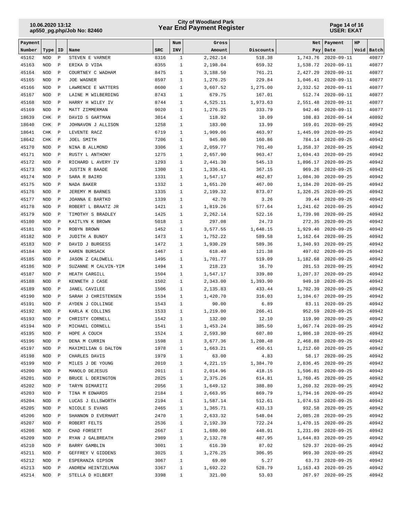## **Year End Payment Register City of Woodland Park 10.06.2020 13:12**

#### **Page 14 of 16 USER: EKAT**

| Payment        |                          |                              |                                             |              | Num                          | Gross                |                    | Net                  | Payment                              | HP |                |
|----------------|--------------------------|------------------------------|---------------------------------------------|--------------|------------------------------|----------------------|--------------------|----------------------|--------------------------------------|----|----------------|
| Number         | Type                     | ID                           | Name                                        | <b>SRC</b>   | INV                          | Amount               | Discounts          | Pay                  | Date                                 |    | Void Batch     |
| 45162          | <b>NOD</b>               | $\, {\bf P}$                 | STEVEN E VARNER                             | 8316         | $\mathbf{1}$                 | 2,262.14             | 518.38             | 1,743.76             | $2020 - 09 - 11$                     |    | 40877          |
| 45163          | <b>NOD</b>               | $\, {\bf P}$                 | ERIKA D VIDA                                | 8355         | $\mathbf{1}$                 | 2,198.04             | 659.32             | 1,538.72             | $2020 - 09 - 11$                     |    | 40877          |
| 45164          | <b>NOD</b>               | $\, {\bf P}$                 | COURTNEY C WADHAM                           | 8475         | $\mathbf{1}$                 | 3,188.50             | 761.21             | 2,427.29             | $2020 - 09 - 11$                     |    | 40877          |
| 45165          | <b>NOD</b>               | $\, {\bf P}$                 | <b>JOE WAGNER</b>                           | 8597         | $\mathbf{1}$                 | 1,276.25             | 229.84             | 1,046.41             | $2020 - 09 - 11$                     |    | 40877          |
| 45166          | <b>NOD</b>               | $\, {\bf P}$                 | LAWRENCE E WATTERS                          | 8600         | $\mathbf{1}$                 | 3,607.52             | 1,275.00           | 2,332.52             | $2020 - 09 - 11$                     |    | 40877          |
| 45167          | <b>NOD</b>               | $\, {\bf P}$                 | LAINE M WILBERDING                          | 8743         | $\mathbf{1}$                 | 679.75               | 167.01             | 512.74               | $2020 - 09 - 11$                     |    | 40877          |
| 45168<br>45169 | <b>NOD</b>               | $\, {\bf P}$                 | HARRY H WILEY IV<br>MATT ZIMMERMAN          | 8744         | $\mathbf{1}$<br>$\mathbf{1}$ | 4,525.11<br>1,276.25 | 1,973.63<br>333.79 | 2,551.48<br>942.46   | $2020 - 09 - 11$                     |    | 40877<br>40877 |
| 18639          | <b>NOD</b><br>CHK        | $\, {\bf P}$<br>$\, {\bf P}$ | DAVID S GARTMAN                             | 9020<br>3014 | $\mathbf{1}$                 | 118.92               | 10.09              | 108.83               | $2020 - 09 - 11$<br>$2020 - 09 - 14$ |    | 40892          |
| 18640          | CHK                      | $\mathbf{P}$                 | JOHNAVON J ALLISON                          | 1258         | $\mathbf{1}$                 | 183.00               | 13.99              | 169.01               | $2020 - 09 - 25$                     |    | 40942          |
| 18641          | CHK                      | $\, {\bf P}$                 | LEVENTE RACZ                                | 6719         | $\mathbf{1}$                 | 1,909.06             | 463.97             | 1,445.09             | $2020 - 09 - 25$                     |    | 40942          |
| 18642          | CHK                      | $\, {\bf P}$                 | JOEL SMITH                                  | 7206         | $\mathbf{1}$                 | 945.00               | 160.86             | 784.14               | $2020 - 09 - 25$                     |    | 40942          |
| 45170          | <b>NOD</b>               | $\, {\bf P}$                 | NINA B ALLMOND                              | 3306         | $\mathbf{1}$                 | 2,059.77             | 701.40             | 1,358.37             | $2020 - 09 - 25$                     |    | 40942          |
| 45171          | <b>NOD</b>               | $\, {\bf P}$                 | RUSTY L ANTHONY                             | 1275         | $\mathbf{1}$                 | 2,657.90             | 963.47             | 1,694.43             | $2020 - 09 - 25$                     |    | 40942          |
| 45172          | <b>NOD</b>               | $\, {\bf P}$                 | RICHARD L AVERY IV                          | 1293         | $\mathbf{1}$                 | 2,441.30             | 545.13             | 1,896.17             | $2020 - 09 - 25$                     |    | 40942          |
| 45173          | <b>NOD</b>               | $\, {\bf P}$                 | <b>JUSTIN R BAADE</b>                       | 1300         | $\mathbf{1}$                 | 1,336.41             | 367.15             | 969.26               | $2020 - 09 - 25$                     |    | 40942          |
| 45174          | <b>NOD</b>               | $\, {\bf P}$                 | SARA R BAIRD                                | 1331         | $\mathbf{1}$                 | 1,547.17             | 462.87             | 1,084.30             | $2020 - 09 - 25$                     |    | 40942          |
| 45175          | <b>NOD</b>               | $\, {\bf P}$                 | NADA BAKER                                  | 1332         | $\mathbf{1}$                 | 1,651.20             | 467.00             | 1,184.20             | $2020 - 09 - 25$                     |    | 40942          |
| 45176          | <b>NOD</b>               | $\mathbf{P}$                 | JEREMY M BARNES                             | 1335         | $\mathbf{1}$                 | 2,199.32             | 873.07             | 1,326.25             | $2020 - 09 - 25$                     |    | 40942          |
| 45177          | <b>NOD</b>               | $\, {\bf P}$                 | JOANNA E BARTKO                             | 1339         | $\mathbf{1}$                 | 42.70                | 3.26               | 39.44                | $2020 - 09 - 25$                     |    | 40942          |
| 45178          | <b>NOD</b>               | $\, {\bf P}$                 | ROBERT L BRAATZ JR                          | 1421         | $\mathbf{1}$                 | 1,819.26             | 577.64             | 1,241.62             | $2020 - 09 - 25$                     |    | 40942          |
| 45179          | <b>NOD</b>               | $\, {\bf P}$                 | TIMOTHY S BRADLEY                           | 1425         | $\mathbf{1}$                 | 2,262.14             | 522.16             | 1,739.98             | $2020 - 09 - 25$                     |    | 40942          |
| 45180          | <b>NOD</b>               | $\, {\bf P}$                 | KAITLYN K BROWN                             | 5018         | $\mathbf{1}$                 | 297.08               | 24.73              | 272.35               | $2020 - 09 - 25$                     |    | 40942          |
| 45181          | <b>NOD</b>               | $\, {\bf P}$                 | ROBYN BROWN                                 | 1452         | $\mathbf{1}$                 | 3,577.55             | 1,648.15           | 1,929.40             | $2020 - 09 - 25$                     |    | 40942          |
| 45182          | <b>NOD</b>               | $\, {\bf P}$                 | JUDITH A BUNDY                              | 1473         | $\mathbf{1}$                 | 1,752.22             | 589.58             | 1,162.64             | $2020 - 09 - 25$                     |    | 40942          |
| 45183          | <b>NOD</b>               | $\, {\bf P}$                 | DAVID J BURGESS                             | 1472         | $\mathbf{1}$                 | 1,930.29             | 589.36             | 1,340.93             | $2020 - 09 - 25$                     |    | 40942          |
| 45184          | <b>NOD</b>               | $\, {\bf P}$                 | KAREN BURSACK                               | 1467         | $\mathbf{1}$                 | 618.40               | 121.38             | 497.02               | $2020 - 09 - 25$                     |    | 40942          |
| 45185          | <b>NOD</b>               | $\mathbf{P}$                 | <b>JASON Z CALDWELL</b>                     | 1495         | $\mathbf{1}$                 | 1,701.77             | 519.09             | 1,182.68             | $2020 - 09 - 25$                     |    | 40942          |
| 45186          | <b>NOD</b>               | $\mathbf P$                  | SUZANNE M CALVIN-YIM                        | 1494         | $\mathbf{1}$                 | 218.23               | 16.70              | 201.53               | $2020 - 09 - 25$                     |    | 40942          |
| 45187          | <b>NOD</b>               | $\, {\bf P}$                 | HEATH CARGILL                               | 1504         | $\mathbf{1}$                 | 1,547.17             | 339.80             | 1,207.37             | $2020 - 09 - 25$                     |    | 40942          |
| 45188          | <b>NOD</b>               | $\, {\bf P}$                 | KENNETH J CASE                              | 1502         | $\mathbf{1}$                 | 2,343.00             | 1,393.90           | 949.10               | $2020 - 09 - 25$                     |    | 40942          |
| 45189<br>45190 | <b>NOD</b><br><b>NOD</b> | $\, {\bf P}$<br>$\, {\bf P}$ | <b>JANEL CAVILEE</b><br>SARAH J CHRISTENSEN | 1506<br>1534 | $\mathbf{1}$<br>$\mathbf{1}$ | 2,135.83<br>1,420.70 | 433.44<br>316.03   | 1,702.39<br>1,104.67 | $2020 - 09 - 25$<br>$2020 - 09 - 25$ |    | 40942<br>40942 |
| 45191          | <b>NOD</b>               | Ρ                            | AYDEN J COLLINGE                            | 1543         | $\mathbf{1}$                 | 90.00                | 6.89               | 83.11                | $2020 - 09 - 25$                     |    | 40942          |
| 45192          | <b>NOD</b>               | $\, {\bf P}$                 | KARLA K COLLINS                             | 1533         | $\mathbf{1}$                 | 1,219.00             | 266.41             | 952.59               | $2020 - 09 - 25$                     |    | 40942          |
| 45193          | <b>NOD</b>               | $\, {\bf P}$                 | CHRISTY CORNELL                             | 1542         | $\mathbf{1}$                 | 132.00               | 12.10              | 119.90               | $2020 - 09 - 25$                     |    | 40942          |
| 45194          | <b>NOD</b>               | $\mathbf{P}$                 | MICHAEL CORNELL                             | 1541         | $\mathbf{1}$                 | 1,453.24             | 385.50             | 1,067.74             | $2020 - 09 - 25$                     |    | 40942          |
| 45195          | NOD                      | Ρ                            | HOPE A COUCH                                | 1524         | $\mathbf{1}$                 | 2,593.90             | 607.80             |                      | 1,986.10 2020-09-25                  |    | 40942          |
| 45196          | NOD                      | Ρ                            | DENA M CURRIN                               | 1598         | 1                            | 3,677.36             | 1,208.48           |                      | 2,468.88 2020-09-25                  |    | 40942          |
| 45197          | NOD                      | Ρ                            | MAXIMILIAN G DALTON                         | 1978         | 1                            | 1,663.21             | 450.61             |                      | 1,212.60 2020-09-25                  |    | 40942          |
| 45198          | NOD                      | $\, {\bf P}$                 | CHARLES DAVIS                               | 1979         | $\mathbf{1}$                 | 63.00                | 4.83               |                      | 58.17 2020-09-25                     |    | 40942          |
| 45199          | NOD                      | $\, {\bf P}$                 | MILES J DE YOUNG                            | 2010         | $\mathbf{1}$                 | 4,221.15             | 1,384.70           |                      | 2,836.45 2020-09-25                  |    | 40942          |
| 45200          | NOD                      | Ρ                            | MANOLO DEJESUS                              | 2011         | $\mathbf{1}$                 | 2,014.96             | 418.15             |                      | 1,596.81 2020-09-25                  |    | 40942          |
| 45201          | NOD                      | Ρ                            | BRUCE L DERINGTON                           | 2025         | $\mathbf{1}$                 | 2,375.26             | 614.81             |                      | 1,760.45 2020-09-25                  |    | 40942          |
| 45202          | NOD                      | Ρ                            | TARYN DIMARITI                              | 2056         | $\mathbf{1}$                 | 1,649.12             | 388.80             |                      | 1,260.32 2020-09-25                  |    | 40942          |
| 45203          | NOD                      | Ρ                            | TINA M EDWARDS                              | 2184         | $\mathbf{1}$                 | 2,663.95             | 869.79             |                      | 1,794.16 2020-09-25                  |    | 40942          |
| 45204          | NOD                      | $\, {\bf P}$                 | LUCAS J ELLSWORTH                           | 2194         | 1                            | 1,587.14             | 512.61             |                      | 1,074.53 2020-09-25                  |    | 40942          |
| 45205          | NOD                      | $\, {\bf P}$                 | NICOLE S EVANS                              | 2465         | 1                            | 1,365.71             | 433.13             |                      | 932.58 2020-09-25                    |    | 40942          |
| 45206          | NOD                      | $\, {\bf P}$                 | SHANNON D EVERHART                          | 2470         | 1                            | 2,633.32             | 548.04             |                      | 2,085.28 2020-09-25                  |    | 40942          |
| 45207          | NOD                      | $\, {\bf P}$                 | ROBERT FELTS                                | 2536         | $\mathbf{1}$                 | 2,192.39             | 722.24             |                      | 1,470.15 2020-09-25                  |    | 40942          |
| 45208          | $\rm NOD$                | $\, {\bf P}$                 | CHAD FORSETT                                | 2667         | $\mathbf{1}$                 | 1,680.00             | 448.91             |                      | 1,231.09 2020-09-25                  |    | 40942          |
| 45209          | NOD                      | Ρ                            | RYAN J GALBREATH                            | 2989         | $\mathbf{1}$                 | 2,132.78             | 487.95             |                      | 1,644.83 2020-09-25                  |    | 40942          |
| 45210          | NOD                      | Ρ                            | BARRY GAMBLIN                               | 3001         | $\mathbf{1}$                 | 616.39               | 87.02              | 529.37               | $2020 - 09 - 25$                     |    | 40942          |
| 45211          | NOD                      | Ρ                            | GEFFREY V GIDDENS                           | 3025         | $\mathbf{1}$                 | 1,276.25             | 306.95             |                      | 969.30 2020-09-25                    |    | 40942          |
| 45212          | NOD                      | Ρ                            | ESPERANZA GIPSON                            | 3067         | $\mathbf{1}$                 | 69.00                | 5.27               |                      | 63.73 2020-09-25                     |    | 40942          |
| 45213          | NOD                      | $\, {\bf P}$                 | ANDREW HEINTZELMAN                          | 3367         | $\mathbf{1}$                 | 1,692.22             | 528.79             |                      | 1, 163.43 2020-09-25                 |    | 40942          |
| 45214          | $\rm NOD$                | $\, {\bf P}$                 | STELLA D HILBERT                            | 3398         | $\mathbf{1}$                 | 321.00               | 53.03              |                      | 267.97 2020-09-25                    |    | 40942          |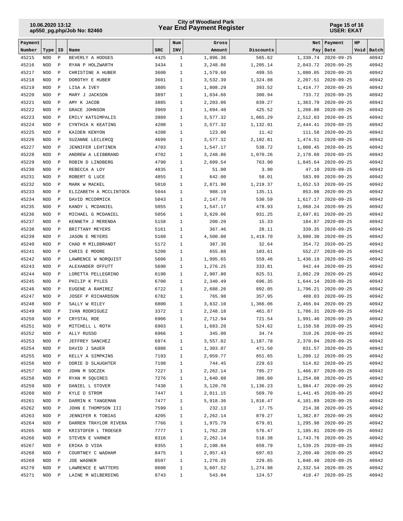## **Year End Payment Register City of Woodland Park 10.06.2020 13:12**

#### **Page 15 of 16 USER: EKAT**

| Payment        |                          |                              |                                            |              | Num                          | Gross                |                  | Net                  | Payment                                    | HP |                |
|----------------|--------------------------|------------------------------|--------------------------------------------|--------------|------------------------------|----------------------|------------------|----------------------|--------------------------------------------|----|----------------|
| Number         | Type                     | <b>ID</b>                    | Name                                       | <b>SRC</b>   | INV                          | Amount               | Discounts        | Pay                  | Date                                       |    | Void Batch     |
| 45215          | <b>NOD</b>               | $\, {\bf P}$                 | BEVERLY A HODGES                           | 4425         | $\mathbf{1}$                 | 1,896.36             | 565.62           | 1,330.74             | $2020 - 09 - 25$                           |    | 40942          |
| 45216          | <b>NOD</b>               | $\, {\bf P}$                 | RYAN P HOLZWARTH                           | 3434         | $\mathbf{1}$                 | 3,248.86             | 1,205.14         | 2,043.72             | $2020 - 09 - 25$                           |    | 40942          |
| 45217          | <b>NOD</b>               | $\, {\bf P}$                 | CHRISTINE A HUBER                          | 3600         | $\mathbf{1}$                 | 1,579.60             | 499.55           | 1,080.05             | $2020 - 09 - 25$                           |    | 40942          |
| 45218          | <b>NOD</b>               | $\, {\bf P}$                 | DOROTHY E HUBER                            | 3601         | $\mathbf{1}$                 | 3,532.39             | 1,324.88         | 2,207.51             | $2020 - 09 - 25$                           |    | 40942          |
| 45219          | <b>NOD</b>               | $\, {\bf P}$                 | LISA A IVEY                                | 3805         | $\mathbf{1}$                 | 1,808.29             | 393.52           | 1,414.77             | $2020 - 09 - 25$                           |    | 40942          |
| 45220<br>45221 | <b>NOD</b><br><b>NOD</b> | $\, {\bf P}$<br>$\, {\bf P}$ | MARY J JACKSON<br>AMY K JACOB              | 3897<br>3885 | $\mathbf{1}$<br>$\mathbf{1}$ | 1,034.66<br>2,203.06 | 300.94<br>839.27 | 733.72               | $2020 - 09 - 25$                           |    | 40942<br>40942 |
| 45222          | <b>NOD</b>               | $\, {\bf P}$                 | GRACE JOHNSON                              | 3969         | $\mathbf{1}$                 | 1,694.40             | 425.52           | 1,363.79<br>1,268.88 | $2020 - 09 - 25$<br>$2020 - 09 - 25$       |    | 40942          |
| 45223          | <b>NOD</b>               | $\, {\bf P}$                 | EMILY KATSIMPALIS                          | 3989         | $\mathbf{1}$                 | 3,577.32             | 1,065.29         | 2,512.03             | $2020 - 09 - 25$                           |    | 40942          |
| 45224          | <b>NOD</b>               | $\mathbf P$                  | CYNTHIA K KEATING                          | 4200         | $\mathbf{1}$                 | 3,577.32             | 1,132.91         | 2,444.41             | $2020 - 09 - 25$                           |    | 40942          |
| 45225          | <b>NOD</b>               | $\, {\bf P}$                 | KAIDEN KENYON                              | 4208         | $\mathbf{1}$                 | 123.00               | 11.42            | 111.58               | $2020 - 09 - 25$                           |    | 40942          |
| 45226          | <b>NOD</b>               | $\, {\bf P}$                 | SUZANNE LECLERCQ                           | 4699         | $\mathbf{1}$                 | 3,577.32             | 2,102.81         | 1,474.51             | $2020 - 09 - 25$                           |    | 40942          |
| 45227          | <b>NOD</b>               | $\, {\bf P}$                 | <b>JENNIFER LEHTINEN</b>                   | 4703         | $\mathbf{1}$                 | 1,547.17             | 538.72           | 1,008.45             | $2020 - 09 - 25$                           |    | 40942          |
| 45228          | <b>NOD</b>               | $\, {\bf P}$                 | ANDREW A LEIBBRAND                         | 4702         | $\mathbf{1}$                 | 3,248.86             | 1,070.26         | 2,178.60             | $2020 - 09 - 25$                           |    | 40942          |
| 45229          | <b>NOD</b>               | $\, {\bf P}$                 | ROBIN D LINDBERG                           | 4790         | $\mathbf{1}$                 | 2,609.54             | 763.90           | 1,845.64             | $2020 - 09 - 25$                           |    | 40942          |
| 45230          | <b>NOD</b>               | $\, {\bf P}$                 | REBECCA A LOY                              | 4835         | $\mathbf{1}$                 | 51.00                | 3.90             | 47.10                | $2020 - 09 - 25$                           |    | 40942          |
| 45231          | <b>NOD</b>               | $\, {\bf P}$                 | ROBERT G LUCE                              | 4855         | $\mathbf{1}$                 | 642.00               | 58.01            | 583.99               | $2020 - 09 - 25$                           |    | 40942          |
| 45232          | <b>NOD</b>               | $\, {\bf P}$                 | MARK W MACKEL                              | 5010         | $\mathbf{1}$                 | 2,871.90             | 1,219.37         | 1,652.53             | $2020 - 09 - 25$                           |    | 40942          |
| 45233          | <b>NOD</b>               | $\, {\bf P}$                 | ELIZABETH A MCCLINTOCK                     | 5044         | $\mathbf{1}$                 | 988.19               | 135.11           | 853.08               | $2020 - 09 - 25$                           |    | 40942          |
| 45234          | <b>NOD</b>               | $\, {\bf P}$                 | DAVID MCCORMICK                            | 5043         | $\mathbf{1}$                 | 2,147.76             | 530.59           | 1,617.17             | $2020 - 09 - 25$                           |    | 40942          |
| 45235          | <b>NOD</b>               | $\, {\bf P}$                 | KANDY L MCDANIEL                           | 5055         | $\mathbf{1}$                 | 1,547.17             | 478.93           | 1,068.24             | $2020 - 09 - 25$                           |    | 40942          |
| 45236          | <b>NOD</b>               | $\, {\bf P}$                 | MICHAEL G MCDANIEL                         | 5056         | $\mathbf{1}$                 | 3,629.06             | 931.25           | 2,697.81             | $2020 - 09 - 25$                           |    | 40942          |
| 45237          | <b>NOD</b>               | $\, {\bf P}$                 | KENNETH J MERENDA                          | 5158         | $\mathbf{1}$                 | 200.20               | 15.33            | 184.87               | $2020 - 09 - 25$                           |    | 40942          |
| 45238          | <b>NOD</b>               | $\, {\bf P}$                 | BRITTANY MEYERS                            | 5161         | $\mathbf{1}$                 | 367.46               | 28.11            | 339.35               | $2020 - 09 - 25$                           |    | 40942          |
| 45239          | <b>NOD</b>               | $\, {\bf P}$                 | <b>JASON E MEYERS</b>                      | 5160         | $\mathbf{1}$                 | 4,500.00             | 1,419.70         | 3,080.30             | $2020 - 09 - 25$                           |    | 40942          |
| 45240          | <b>NOD</b>               | $\, {\bf P}$                 | CHAD M MILDBRANDT                          | 5172         | $\mathbf{1}$                 | 387.36               | 32.64            | 354.72               | $2020 - 09 - 25$                           |    | 40942          |
| 45241          | <b>NOD</b>               | $\, {\bf P}$                 | CHRIS E MOORE                              | 5200         | $\mathbf{1}$                 | 655.88               | 103.61           | 552.27               | $2020 - 09 - 25$                           |    | 40942          |
| 45242<br>45243 | <b>NOD</b><br><b>NOD</b> | $\mathbf{P}$<br>$\, {\bf P}$ | LAWRENCE W NORQUIST<br>ALEXANDER OFFUTT    | 5606<br>5690 | $\mathbf{1}$<br>$\mathbf{1}$ | 1,995.65<br>1,276.25 | 559.46<br>333.81 | 1,436.19<br>942.44   | $2020 - 09 - 25$<br>$2020 - 09 - 25$       |    | 40942<br>40942 |
| 45244          | <b>NOD</b>               | $\, {\bf P}$                 | LORETTA PELLEGRINO                         | 6190         | $\mathbf{1}$                 | 2,907.80             | 825.51           | 2,082.29             | $2020 - 09 - 25$                           |    | 40942          |
| 45245          | <b>NOD</b>               | $\, {\bf P}$                 | PHILIP K PYLES                             | 6700         | $\mathbf{1}$                 | 2,340.49             | 696.35           | 1,644.14             | $2020 - 09 - 25$                           |    | 40942          |
| 45246          | <b>NOD</b>               | $\, {\bf P}$                 | EUGENE A RAMIREZ                           | 6722         | $\mathbf{1}$                 | 2,688.26             | 892.05           | 1,796.21             | $2020 - 09 - 25$                           |    | 40942          |
| 45247          | <b>NOD</b>               | $\, {\bf P}$                 | JOSEF P RICHARDSON                         | 6782         | $\mathbf{1}$                 | 765.98               | 357.95           | 408.03               | $2020 - 09 - 25$                           |    | 40942          |
| 45248          | <b>NOD</b>               | $\, {\bf P}$                 | SALLY W RILEY                              | 6800         | $\mathbf{1}$                 | 3,832.10             | 1,366.06         | 2,466.04             | $2020 - 09 - 25$                           |    | 40942          |
| 45249          | <b>NOD</b>               | $\, {\bf P}$                 | IVAN RODRIGUEZ                             | 3372         | $\mathbf{1}$                 | 2,248.18             | 461.87           | 1,786.31             | $2020 - 09 - 25$                           |    | 40942          |
| 45250          | <b>NOD</b>               | $\, {\bf P}$                 | CRYSTAL ROE                                | 6906         | $\mathbf{1}$                 | 2,712.94             | 721.54           | 1,991.40             | $2020 - 09 - 25$                           |    | 40942          |
| 45251          | <b>NOD</b>               | $\mathbf{P}$                 | MITCHELL L ROTH                            | 6903         | $\mathbf{1}$                 | 1,683.20             | 524.62           | 1,158.58             | $2020 - 09 - 25$                           |    | 40942          |
| 45252          | NOD                      | Ρ                            | ALLY RUSSO                                 | 6966         | 1                            | 345.00               | 34.74            | 310.26               | $2020 - 09 - 25$                           |    | 40942          |
| 45253          | NOD                      | Ρ                            | JEFFREY SANCHEZ                            | 6974         | 1                            | 3,557.82             | 1,187.78         |                      | 2,370.04 2020-09-25                        |    | 40942          |
| 45254          | NOD                      | Ρ                            | DAVID J SAUER                              | 6988         | $\mathbf{1}$                 | 1,303.07             | 471.50           |                      | 831.57 2020-09-25                          |    | 40942          |
| 45255          | $\rm NOD$                | $\, {\bf P}$                 | KELLY A SIMPKINS                           | 7193         | $\mathbf{1}$                 | 2,059.77             | 851.65           |                      | 1,208.12 2020-09-25                        |    | 40942          |
| 45256          | NOD                      | $\, {\bf P}$                 | DORIE D SLAUGHTER                          | 7198         | $\mathbf{1}$                 | 744.45               | 229.63           |                      | 514.82 2020-09-25                          |    | 40942          |
| 45257          | $\rm NOD$                | $\, {\bf P}$                 | JOHN M SOCZEK                              | 7227         | $\mathbf{1}$                 | 2,262.14             | 795.27           |                      | 1,466.87 2020-09-25                        |    | 40942          |
| 45258          | NOD                      | Ρ                            | RYAN M SQUIRES                             | 7276         | $\mathbf{1}$                 | 1,640.88             | 386.80           |                      | 1,254.08 2020-09-25                        |    | 40942          |
| 45259          | NOD                      | Ρ                            | DANIEL L STOVER                            | 7430         | $\mathbf{1}$                 | 3,120.70             | 1,136.23         |                      | 1,984.47 2020-09-25                        |    | 40942          |
| 45260          | NOD                      | $\, {\bf P}$                 | KYLE D STROM                               | 7447         | $\mathbf{1}$                 | 2,011.15             | 569.70           |                      | 1,441.45 2020-09-25                        |    | 40942          |
| 45261          | NOD                      | $\, {\bf P}$                 | DARRIN K TANGEMAN                          | 7477         | 1                            | 5,918.36             | 1,816.47         | 4,101.89             | $2020 - 09 - 25$                           |    | 40942          |
| 45262          | $\rm NOD$                | $\, {\bf P}$                 | JOHN E THOMPSON III                        | 7599         | $\mathbf{1}$                 | 232.13               | 17.75            |                      | 214.38 2020-09-25                          |    | 40942          |
| 45263<br>45264 | NOD<br>$\rm NOD$         | $\, {\bf P}$<br>$\mathbb{P}$ | JENNIFER K TOBIAS<br>DARREN TRAYLOR RIVERA | 4205<br>7766 | $\mathbf{1}$<br>$\mathbf{1}$ | 2,262.14<br>1,975.79 | 879.27<br>679.81 |                      | 1,382.87 2020-09-25<br>1,295.98 2020-09-25 |    | 40942<br>40942 |
| 45265          | NOD                      | Ρ                            | KRISTOFER L TROEGER                        | 7777         | $\mathbf{1}$                 | 1,762.28             | 576.47           |                      | 1, 185.81 2020-09-25                       |    | 40942          |
| 45266          | NOD                      | Ρ                            | STEVEN E VARNER                            | 8316         | $\mathbf{1}$                 | 2,262.14             | 518.38           |                      | 1,743.76 2020-09-25                        |    | 40942          |
| 45267          | NOD                      | Ρ                            | ERIKA D VIDA                               | 8355         | $\mathbf{1}$                 | 2,198.04             | 658.79           |                      | 1,539.25 2020-09-25                        |    | 40942          |
| 45268          | NOD                      | $\, {\bf P}$                 | COURTNEY C WADHAM                          | 8475         | $\mathbf{1}$                 | 2,957.43             | 697.03           |                      | 2,260.40 2020-09-25                        |    | 40942          |
| 45269          | $\rm NOD$                | Ρ                            | JOE WAGNER                                 | 8597         | $\mathbf{1}$                 | 1,276.25             | 229.85           | 1,046.40             | $2020 - 09 - 25$                           |    | 40942          |
| 45270          | NOD                      | Ρ                            | LAWRENCE E WATTERS                         | 8600         | $\mathbf{1}$                 | 3,607.52             | 1,274.98         |                      | 2,332.54 2020-09-25                        |    | 40942          |
| 45271          | $\rm NOD$                | Ρ                            | LAINE M WILBERDING                         | 8743         | $\mathbf{1}$                 | 543.04               | 124.57           |                      | 418.47 2020-09-25                          |    | 40942          |
|                |                          |                              |                                            |              |                              |                      |                  |                      |                                            |    |                |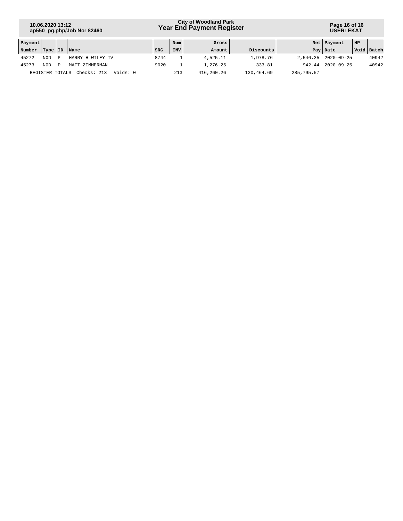# **Year End Payment Register City of Woodland Park 10.06.2020 13:12**

**Page 16 of 16 USER: EKAT**

| Payment |                 |   |                         |      | Num        | Gross      |            |            | Net   Payment       | HP |              |
|---------|-----------------|---|-------------------------|------|------------|------------|------------|------------|---------------------|----|--------------|
| Number  | Type   ID       |   | <i>Name</i>             | SRC  | <b>INV</b> | Amount     | Discounts  |            | Pay   Date          |    | Void   Batch |
| 45272   | <b>NOD</b>      | D | HARRY H WILEY IV        | 8744 |            | 4,525.11   | 1,978.76   |            | 2,546.35 2020-09-25 |    | 40942        |
| 45273   | <b>NOD</b>      | P | MATT ZIMMERMAN          | 9020 |            | 1,276.25   | 333.81     | 942.44     | $2020 - 09 - 25$    |    | 40942        |
|         | REGISTER TOTALS |   | Checks: 213<br>Voids: 0 |      | 213        | 416,260.26 | 130,464.69 | 285,795.57 |                     |    |              |